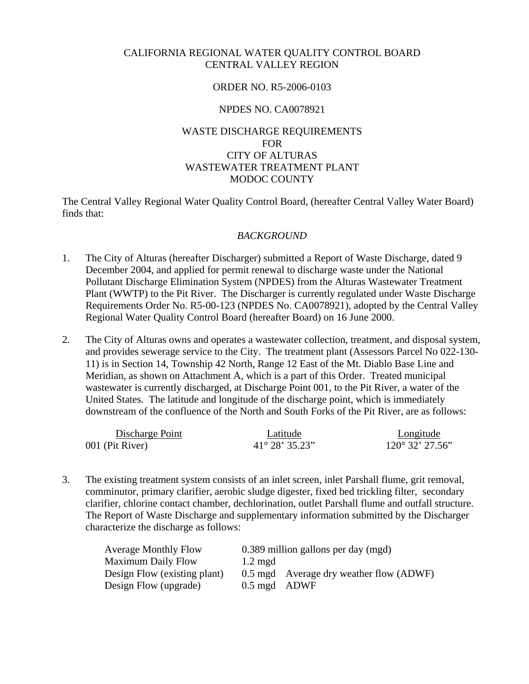#### CALIFORNIA REGIONAL WATER QUALITY CONTROL BOARD CENTRAL VALLEY REGION

#### ORDER NO. R5-2006-0103

#### NPDES NO. CA0078921

# WASTE DISCHARGE REQUIREMENTS FOR CITY OF ALTURAS WASTEWATER TREATMENT PLANT MODOC COUNTY

The Central Valley Regional Water Quality Control Board, (hereafter Central Valley Water Board) finds that:

## *BACKGROUND*

- 1. The City of Alturas (hereafter Discharger) submitted a Report of Waste Discharge, dated 9 December 2004, and applied for permit renewal to discharge waste under the National Pollutant Discharge Elimination System (NPDES) from the Alturas Wastewater Treatment Plant (WWTP) to the Pit River. The Discharger is currently regulated under Waste Discharge Requirements Order No. R5-00-123 (NPDES No. CA0078921), adopted by the Central Valley Regional Water Quality Control Board (hereafter Board) on 16 June 2000.
- 2. The City of Alturas owns and operates a wastewater collection, treatment, and disposal system, and provides sewerage service to the City. The treatment plant (Assessors Parcel No 022-130- 11) is in Section 14, Township 42 North, Range 12 East of the Mt. Diablo Base Line and Meridian, as shown on Attachment A, which is a part of this Order. Treated municipal wastewater is currently discharged, at Discharge Point 001, to the Pit River, a water of the United States. The latitude and longitude of the discharge point, which is immediately downstream of the confluence of the North and South Forks of the Pit River, are as follows:

| Discharge Point | Latitude                | Longitude                |
|-----------------|-------------------------|--------------------------|
| 001 (Pit River) | $41^{\circ} 28' 35.23"$ | $120^{\circ}$ 32' 27.56" |

3. The existing treatment system consists of an inlet screen, inlet Parshall flume, grit removal, comminutor, primary clarifier, aerobic sludge digester, fixed bed trickling filter, secondary clarifier, chlorine contact chamber, dechlorination, outlet Parshall flume and outfall structure. The Report of Waste Discharge and supplementary information submitted by the Discharger characterize the discharge as follows:

| <b>Average Monthly Flow</b>  |                   | 0.389 million gallons per day (mgd)     |
|------------------------------|-------------------|-----------------------------------------|
| Maximum Daily Flow           | $1.2 \text{ mgd}$ |                                         |
| Design Flow (existing plant) |                   | 0.5 mgd Average dry weather flow (ADWF) |
| Design Flow (upgrade)        | 0.5 mgd ADWF      |                                         |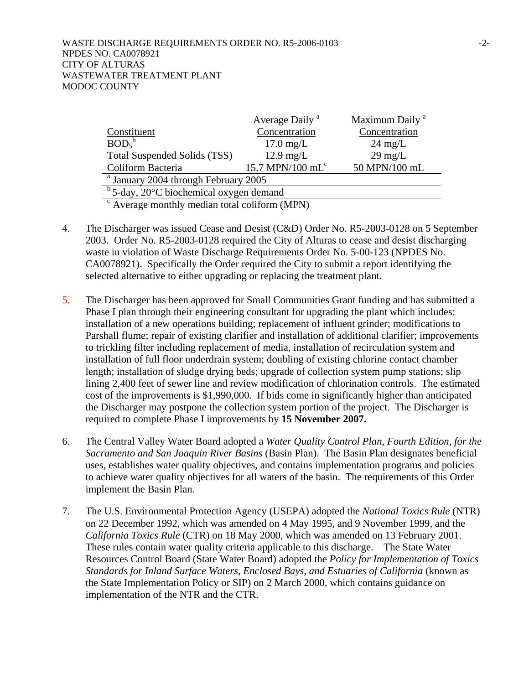|                                                           | Average Daily <sup>a</sup>   | Maximum Daily <sup>a</sup> |  |  |
|-----------------------------------------------------------|------------------------------|----------------------------|--|--|
| Constituent                                               | Concentration                | Concentration              |  |  |
| BOD <sub>5</sub>                                          | $17.0 \text{ mg/L}$          | $24 \text{ mg/L}$          |  |  |
| Total Suspended Solids (TSS)                              | $12.9 \text{ mg/L}$          | $29 \text{ mg/L}$          |  |  |
| Coliform Bacteria                                         | 15.7 MPN/100 mL <sup>c</sup> | 50 MPN/100 mL              |  |  |
| <sup>a</sup> January 2004 through February 2005           |                              |                            |  |  |
| $b$ 5-day, 20 $\degree$ C biochemical oxygen demand       |                              |                            |  |  |
| $\frac{c}{c}$ Average monthly modian total coliform (MDN) |                              |                            |  |  |

Average monthly median total coliform (MPN)

- 4. The Discharger was issued Cease and Desist (C&D) Order No. R5-2003-0128 on 5 September 2003. Order No. R5-2003-0128 required the City of Alturas to cease and desist discharging waste in violation of Waste Discharge Requirements Order No. 5-00-123 (NPDES No. CA0078921). Specifically the Order required the City to submit a report identifying the selected alternative to either upgrading or replacing the treatment plant.
- 5. The Discharger has been approved for Small Communities Grant funding and has submitted a Phase I plan through their engineering consultant for upgrading the plant which includes: installation of a new operations building; replacement of influent grinder; modifications to Parshall flume; repair of existing clarifier and installation of additional clarifier; improvements to trickling filter including replacement of media, installation of recirculation system and installation of full floor underdrain system; doubling of existing chlorine contact chamber length; installation of sludge drying beds; upgrade of collection system pump stations; slip lining 2,400 feet of sewer line and review modification of chlorination controls. The estimated cost of the improvements is \$1,990,000. If bids come in significantly higher than anticipated the Discharger may postpone the collection system portion of the project. The Discharger is required to complete Phase I improvements by **15 November 2007.**
- 6. The Central Valley Water Board adopted a *Water Quality Control Plan*, *Fourth Edition, for the Sacramento and San Joaquin River Basins* (Basin Plan). The Basin Plan designates beneficial uses, establishes water quality objectives, and contains implementation programs and policies to achieve water quality objectives for all waters of the basin. The requirements of this Order implement the Basin Plan.
- 7. The U.S. Environmental Protection Agency (USEPA) adopted the *National Toxics Rule* (NTR) on 22 December 1992, which was amended on 4 May 1995, and 9 November 1999, and the *California Toxics Rule* (CTR) on 18 May 2000, which was amended on 13 February 2001. These rules contain water quality criteria applicable to this discharge. The State Water Resources Control Board (State Water Board) adopted the *Policy for Implementation of Toxics Standards for Inland Surface Waters, Enclosed Bays, and Estuaries of California* (known as the State Implementation Policy or SIP) on 2 March 2000, which contains guidance on implementation of the NTR and the CTR.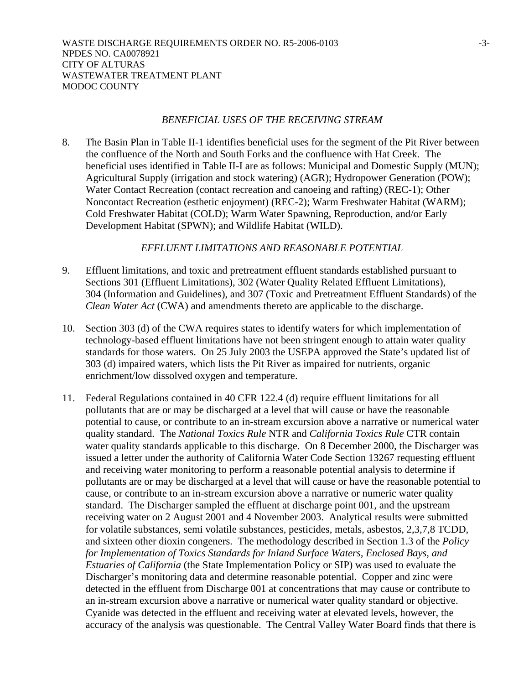#### *BENEFICIAL USES OF THE RECEIVING STREAM*

8. The Basin Plan in Table II-1 identifies beneficial uses for the segment of the Pit River between the confluence of the North and South Forks and the confluence with Hat Creek. The beneficial uses identified in Table II-I are as follows: Municipal and Domestic Supply (MUN); Agricultural Supply (irrigation and stock watering) (AGR); Hydropower Generation (POW); Water Contact Recreation (contact recreation and canoeing and rafting) (REC-1); Other Noncontact Recreation (esthetic enjoyment) (REC-2); Warm Freshwater Habitat (WARM); Cold Freshwater Habitat (COLD); Warm Water Spawning, Reproduction, and/or Early Development Habitat (SPWN); and Wildlife Habitat (WILD).

## *EFFLUENT LIMITATIONS AND REASONABLE POTENTIAL*

- 9. Effluent limitations, and toxic and pretreatment effluent standards established pursuant to Sections 301 (Effluent Limitations), 302 (Water Quality Related Effluent Limitations), 304 (Information and Guidelines), and 307 (Toxic and Pretreatment Effluent Standards) of the *Clean Water Act* (CWA) and amendments thereto are applicable to the discharge.
- 10. Section 303 (d) of the CWA requires states to identify waters for which implementation of technology-based effluent limitations have not been stringent enough to attain water quality standards for those waters. On 25 July 2003 the USEPA approved the State's updated list of 303 (d) impaired waters, which lists the Pit River as impaired for nutrients, organic enrichment/low dissolved oxygen and temperature.
- 11. Federal Regulations contained in 40 CFR 122.4 (d) require effluent limitations for all pollutants that are or may be discharged at a level that will cause or have the reasonable potential to cause, or contribute to an in-stream excursion above a narrative or numerical water quality standard. The *National Toxics Rule* NTR and *California Toxics Rule* CTR contain water quality standards applicable to this discharge. On 8 December 2000, the Discharger was issued a letter under the authority of California Water Code Section 13267 requesting effluent and receiving water monitoring to perform a reasonable potential analysis to determine if pollutants are or may be discharged at a level that will cause or have the reasonable potential to cause, or contribute to an in-stream excursion above a narrative or numeric water quality standard. The Discharger sampled the effluent at discharge point 001, and the upstream receiving water on 2 August 2001 and 4 November 2003. Analytical results were submitted for volatile substances, semi volatile substances, pesticides, metals, asbestos, 2,3,7,8 TCDD, and sixteen other dioxin congeners. The methodology described in Section 1.3 of the *Policy for Implementation of Toxics Standards for Inland Surface Waters, Enclosed Bays, and Estuaries of California* (the State Implementation Policy or SIP) was used to evaluate the Discharger's monitoring data and determine reasonable potential. Copper and zinc were detected in the effluent from Discharge 001 at concentrations that may cause or contribute to an in-stream excursion above a narrative or numerical water quality standard or objective. Cyanide was detected in the effluent and receiving water at elevated levels, however, the accuracy of the analysis was questionable. The Central Valley Water Board finds that there is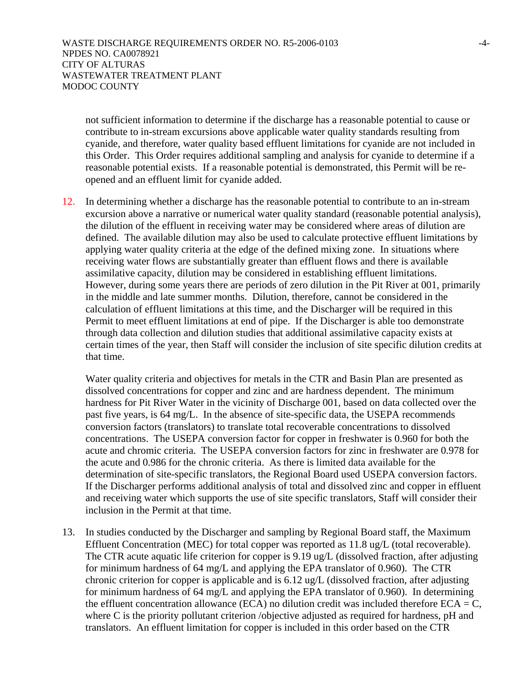not sufficient information to determine if the discharge has a reasonable potential to cause or contribute to in-stream excursions above applicable water quality standards resulting from cyanide, and therefore, water quality based effluent limitations for cyanide are not included in this Order. This Order requires additional sampling and analysis for cyanide to determine if a reasonable potential exists. If a reasonable potential is demonstrated, this Permit will be reopened and an effluent limit for cyanide added.

12. In determining whether a discharge has the reasonable potential to contribute to an in-stream excursion above a narrative or numerical water quality standard (reasonable potential analysis), the dilution of the effluent in receiving water may be considered where areas of dilution are defined. The available dilution may also be used to calculate protective effluent limitations by applying water quality criteria at the edge of the defined mixing zone. In situations where receiving water flows are substantially greater than effluent flows and there is available assimilative capacity, dilution may be considered in establishing effluent limitations. However, during some years there are periods of zero dilution in the Pit River at 001, primarily in the middle and late summer months. Dilution, therefore, cannot be considered in the calculation of effluent limitations at this time, and the Discharger will be required in this Permit to meet effluent limitations at end of pipe. If the Discharger is able too demonstrate through data collection and dilution studies that additional assimilative capacity exists at certain times of the year, then Staff will consider the inclusion of site specific dilution credits at that time.

Water quality criteria and objectives for metals in the CTR and Basin Plan are presented as dissolved concentrations for copper and zinc and are hardness dependent. The minimum hardness for Pit River Water in the vicinity of Discharge 001, based on data collected over the past five years, is 64 mg/L. In the absence of site-specific data, the USEPA recommends conversion factors (translators) to translate total recoverable concentrations to dissolved concentrations. The USEPA conversion factor for copper in freshwater is 0.960 for both the acute and chromic criteria. The USEPA conversion factors for zinc in freshwater are 0.978 for the acute and 0.986 for the chronic criteria. As there is limited data available for the determination of site-specific translators, the Regional Board used USEPA conversion factors. If the Discharger performs additional analysis of total and dissolved zinc and copper in effluent and receiving water which supports the use of site specific translators, Staff will consider their inclusion in the Permit at that time.

13. In studies conducted by the Discharger and sampling by Regional Board staff, the Maximum Effluent Concentration (MEC) for total copper was reported as 11.8 ug/L (total recoverable). The CTR acute aquatic life criterion for copper is 9.19 ug/L (dissolved fraction, after adjusting for minimum hardness of 64 mg/L and applying the EPA translator of 0.960). The CTR chronic criterion for copper is applicable and is 6.12 ug/L (dissolved fraction, after adjusting for minimum hardness of 64 mg/L and applying the EPA translator of 0.960). In determining the effluent concentration allowance (ECA) no dilution credit was included therefore  $ECA = C$ , where C is the priority pollutant criterion /objective adjusted as required for hardness, pH and translators. An effluent limitation for copper is included in this order based on the CTR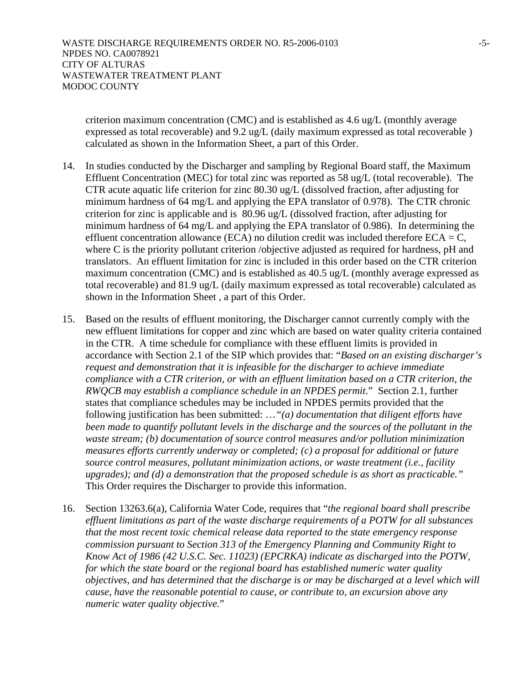criterion maximum concentration (CMC) and is established as 4.6 ug/L (monthly average expressed as total recoverable) and 9.2 ug/L (daily maximum expressed as total recoverable ) calculated as shown in the Information Sheet, a part of this Order.

- 14. In studies conducted by the Discharger and sampling by Regional Board staff, the Maximum Effluent Concentration (MEC) for total zinc was reported as 58 ug/L (total recoverable). The CTR acute aquatic life criterion for zinc 80.30 ug/L (dissolved fraction, after adjusting for minimum hardness of 64 mg/L and applying the EPA translator of 0.978). The CTR chronic criterion for zinc is applicable and is 80.96 ug/L (dissolved fraction, after adjusting for minimum hardness of 64 mg/L and applying the EPA translator of 0.986). In determining the effluent concentration allowance (ECA) no dilution credit was included therefore  $ECA = C$ , where C is the priority pollutant criterion /objective adjusted as required for hardness, pH and translators. An effluent limitation for zinc is included in this order based on the CTR criterion maximum concentration (CMC) and is established as 40.5 ug/L (monthly average expressed as total recoverable) and 81.9 ug/L (daily maximum expressed as total recoverable) calculated as shown in the Information Sheet , a part of this Order.
- 15. Based on the results of effluent monitoring, the Discharger cannot currently comply with the new effluent limitations for copper and zinc which are based on water quality criteria contained in the CTR. A time schedule for compliance with these effluent limits is provided in accordance with Section 2.1 of the SIP which provides that: "*Based on an existing discharger's request and demonstration that it is infeasible for the discharger to achieve immediate compliance with a CTR criterion, or with an effluent limitation based on a CTR criterion, the RWQCB may establish a compliance schedule in an NPDES permit*." Section 2.1, further states that compliance schedules may be included in NPDES permits provided that the following justification has been submitted: …*"(a) documentation that diligent efforts have been made to quantify pollutant levels in the discharge and the sources of the pollutant in the waste stream; (b) documentation of source control measures and/or pollution minimization measures efforts currently underway or completed; (c) a proposal for additional or future source control measures, pollutant minimization actions, or waste treatment (i.e., facility upgrades); and (d) a demonstration that the proposed schedule is as short as practicable."* This Order requires the Discharger to provide this information.
- 16. Section 13263.6(a), California Water Code, requires that "*the regional board shall prescribe effluent limitations as part of the waste discharge requirements of a POTW for all substances that the most recent toxic chemical release data reported to the state emergency response commission pursuant to Section 313 of the Emergency Planning and Community Right to Know Act of 1986 (42 U.S.C. Sec. 11023) (EPCRKA) indicate as discharged into the POTW, for which the state board or the regional board has established numeric water quality objectives, and has determined that the discharge is or may be discharged at a level which will cause, have the reasonable potential to cause, or contribute to, an excursion above any numeric water quality objective.*"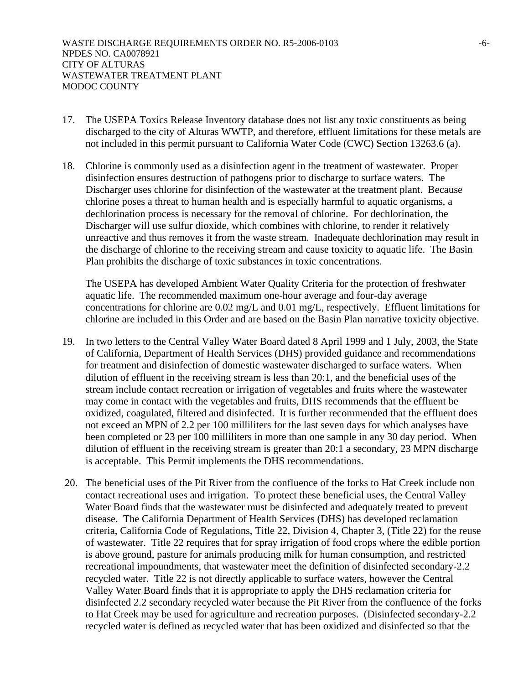- 17. The USEPA Toxics Release Inventory database does not list any toxic constituents as being discharged to the city of Alturas WWTP, and therefore, effluent limitations for these metals are not included in this permit pursuant to California Water Code (CWC) Section 13263.6 (a).
- 18. Chlorine is commonly used as a disinfection agent in the treatment of wastewater. Proper disinfection ensures destruction of pathogens prior to discharge to surface waters. The Discharger uses chlorine for disinfection of the wastewater at the treatment plant. Because chlorine poses a threat to human health and is especially harmful to aquatic organisms, a dechlorination process is necessary for the removal of chlorine. For dechlorination, the Discharger will use sulfur dioxide, which combines with chlorine, to render it relatively unreactive and thus removes it from the waste stream. Inadequate dechlorination may result in the discharge of chlorine to the receiving stream and cause toxicity to aquatic life. The Basin Plan prohibits the discharge of toxic substances in toxic concentrations.

The USEPA has developed Ambient Water Quality Criteria for the protection of freshwater aquatic life. The recommended maximum one-hour average and four-day average concentrations for chlorine are 0.02 mg/L and 0.01 mg/L, respectively. Effluent limitations for chlorine are included in this Order and are based on the Basin Plan narrative toxicity objective.

- 19. In two letters to the Central Valley Water Board dated 8 April 1999 and 1 July, 2003, the State of California, Department of Health Services (DHS) provided guidance and recommendations for treatment and disinfection of domestic wastewater discharged to surface waters. When dilution of effluent in the receiving stream is less than 20:1, and the beneficial uses of the stream include contact recreation or irrigation of vegetables and fruits where the wastewater may come in contact with the vegetables and fruits, DHS recommends that the effluent be oxidized, coagulated, filtered and disinfected. It is further recommended that the effluent does not exceed an MPN of 2.2 per 100 milliliters for the last seven days for which analyses have been completed or 23 per 100 milliliters in more than one sample in any 30 day period. When dilution of effluent in the receiving stream is greater than 20:1 a secondary, 23 MPN discharge is acceptable. This Permit implements the DHS recommendations.
- 20. The beneficial uses of the Pit River from the confluence of the forks to Hat Creek include non contact recreational uses and irrigation. To protect these beneficial uses, the Central Valley Water Board finds that the wastewater must be disinfected and adequately treated to prevent disease. The California Department of Health Services (DHS) has developed reclamation criteria, California Code of Regulations, Title 22, Division 4, Chapter 3, (Title 22) for the reuse of wastewater. Title 22 requires that for spray irrigation of food crops where the edible portion is above ground, pasture for animals producing milk for human consumption, and restricted recreational impoundments, that wastewater meet the definition of disinfected secondary-2.2 recycled water. Title 22 is not directly applicable to surface waters, however the Central Valley Water Board finds that it is appropriate to apply the DHS reclamation criteria for disinfected 2.2 secondary recycled water because the Pit River from the confluence of the forks to Hat Creek may be used for agriculture and recreation purposes. (Disinfected secondary-2.2 recycled water is defined as recycled water that has been oxidized and disinfected so that the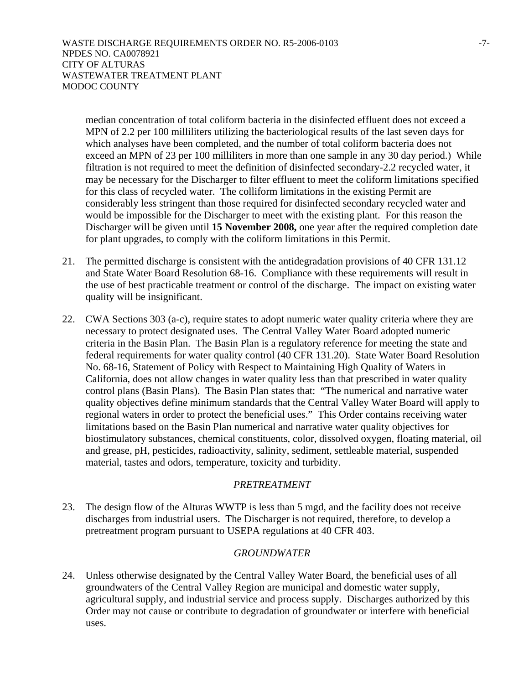median concentration of total coliform bacteria in the disinfected effluent does not exceed a MPN of 2.2 per 100 milliliters utilizing the bacteriological results of the last seven days for which analyses have been completed, and the number of total coliform bacteria does not exceed an MPN of 23 per 100 milliliters in more than one sample in any 30 day period.) While filtration is not required to meet the definition of disinfected secondary-2.2 recycled water, it may be necessary for the Discharger to filter effluent to meet the coliform limitations specified for this class of recycled water. The colliform limitations in the existing Permit are considerably less stringent than those required for disinfected secondary recycled water and would be impossible for the Discharger to meet with the existing plant. For this reason the Discharger will be given until **15 November 2008,** one year after the required completion date for plant upgrades, to comply with the coliform limitations in this Permit.

- 21. The permitted discharge is consistent with the antidegradation provisions of 40 CFR 131.12 and State Water Board Resolution 68-16. Compliance with these requirements will result in the use of best practicable treatment or control of the discharge. The impact on existing water quality will be insignificant.
- 22. CWA Sections 303 (a-c), require states to adopt numeric water quality criteria where they are necessary to protect designated uses. The Central Valley Water Board adopted numeric criteria in the Basin Plan. The Basin Plan is a regulatory reference for meeting the state and federal requirements for water quality control (40 CFR 131.20). State Water Board Resolution No. 68-16, Statement of Policy with Respect to Maintaining High Quality of Waters in California, does not allow changes in water quality less than that prescribed in water quality control plans (Basin Plans). The Basin Plan states that: "The numerical and narrative water quality objectives define minimum standards that the Central Valley Water Board will apply to regional waters in order to protect the beneficial uses." This Order contains receiving water limitations based on the Basin Plan numerical and narrative water quality objectives for biostimulatory substances, chemical constituents, color, dissolved oxygen, floating material, oil and grease, pH, pesticides, radioactivity, salinity, sediment, settleable material, suspended material, tastes and odors, temperature, toxicity and turbidity.

# *PRETREATMENT*

23. The design flow of the Alturas WWTP is less than 5 mgd, and the facility does not receive discharges from industrial users. The Discharger is not required, therefore, to develop a pretreatment program pursuant to USEPA regulations at 40 CFR 403.

# *GROUNDWATER*

24. Unless otherwise designated by the Central Valley Water Board, the beneficial uses of all groundwaters of the Central Valley Region are municipal and domestic water supply, agricultural supply, and industrial service and process supply. Discharges authorized by this Order may not cause or contribute to degradation of groundwater or interfere with beneficial uses.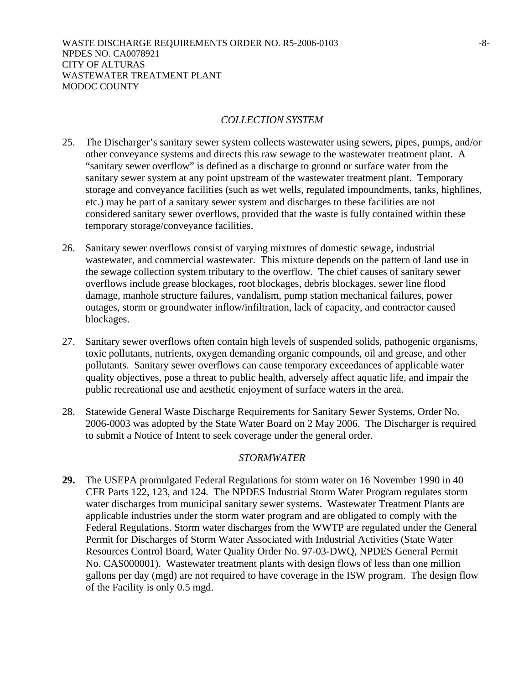# *COLLECTION SYSTEM*

- 25. The Discharger's sanitary sewer system collects wastewater using sewers, pipes, pumps, and/or other conveyance systems and directs this raw sewage to the wastewater treatment plant. A "sanitary sewer overflow" is defined as a discharge to ground or surface water from the sanitary sewer system at any point upstream of the wastewater treatment plant. Temporary storage and conveyance facilities (such as wet wells, regulated impoundments, tanks, highlines, etc.) may be part of a sanitary sewer system and discharges to these facilities are not considered sanitary sewer overflows, provided that the waste is fully contained within these temporary storage/conveyance facilities.
- 26. Sanitary sewer overflows consist of varying mixtures of domestic sewage, industrial wastewater, and commercial wastewater. This mixture depends on the pattern of land use in the sewage collection system tributary to the overflow. The chief causes of sanitary sewer overflows include grease blockages, root blockages, debris blockages, sewer line flood damage, manhole structure failures, vandalism, pump station mechanical failures, power outages, storm or groundwater inflow/infiltration, lack of capacity, and contractor caused blockages.
- 27. Sanitary sewer overflows often contain high levels of suspended solids, pathogenic organisms, toxic pollutants, nutrients, oxygen demanding organic compounds, oil and grease, and other pollutants. Sanitary sewer overflows can cause temporary exceedances of applicable water quality objectives, pose a threat to public health, adversely affect aquatic life, and impair the public recreational use and aesthetic enjoyment of surface waters in the area.
- 28. Statewide General Waste Discharge Requirements for Sanitary Sewer Systems, Order No. 2006-0003 was adopted by the State Water Board on 2 May 2006. The Discharger is required to submit a Notice of Intent to seek coverage under the general order.

## *STORMWATER*

**29.** The USEPA promulgated Federal Regulations for storm water on 16 November 1990 in 40 CFR Parts 122, 123, and 124. The NPDES Industrial Storm Water Program regulates storm water discharges from municipal sanitary sewer systems. Wastewater Treatment Plants are applicable industries under the storm water program and are obligated to comply with the Federal Regulations. Storm water discharges from the WWTP are regulated under the General Permit for Discharges of Storm Water Associated with Industrial Activities (State Water Resources Control Board, Water Quality Order No. 97-03-DWQ, NPDES General Permit No. CAS000001). Wastewater treatment plants with design flows of less than one million gallons per day (mgd) are not required to have coverage in the ISW program. The design flow of the Facility is only 0.5 mgd.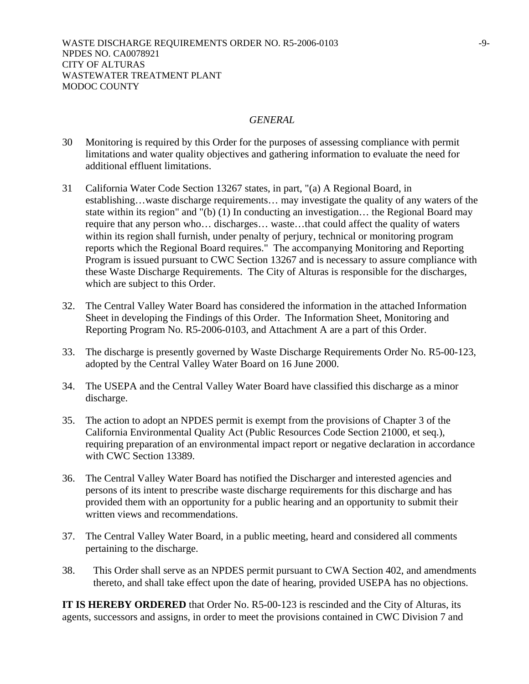#### *GENERAL*

- 30 Monitoring is required by this Order for the purposes of assessing compliance with permit limitations and water quality objectives and gathering information to evaluate the need for additional effluent limitations.
- 31 California Water Code Section 13267 states, in part, "(a) A Regional Board, in establishing…waste discharge requirements… may investigate the quality of any waters of the state within its region" and "(b)  $(1)$  In conducting an investigation... the Regional Board may require that any person who… discharges… waste…that could affect the quality of waters within its region shall furnish, under penalty of perjury, technical or monitoring program reports which the Regional Board requires." The accompanying Monitoring and Reporting Program is issued pursuant to CWC Section 13267 and is necessary to assure compliance with these Waste Discharge Requirements. The City of Alturas is responsible for the discharges, which are subject to this Order.
- 32. The Central Valley Water Board has considered the information in the attached Information Sheet in developing the Findings of this Order. The Information Sheet, Monitoring and Reporting Program No. R5-2006-0103, and Attachment A are a part of this Order.
- 33. The discharge is presently governed by Waste Discharge Requirements Order No. R5-00-123, adopted by the Central Valley Water Board on 16 June 2000.
- 34. The USEPA and the Central Valley Water Board have classified this discharge as a minor discharge.
- 35. The action to adopt an NPDES permit is exempt from the provisions of Chapter 3 of the California Environmental Quality Act (Public Resources Code Section 21000, et seq.), requiring preparation of an environmental impact report or negative declaration in accordance with CWC Section 13389.
- 36. The Central Valley Water Board has notified the Discharger and interested agencies and persons of its intent to prescribe waste discharge requirements for this discharge and has provided them with an opportunity for a public hearing and an opportunity to submit their written views and recommendations.
- 37. The Central Valley Water Board, in a public meeting, heard and considered all comments pertaining to the discharge.
- 38. This Order shall serve as an NPDES permit pursuant to CWA Section 402, and amendments thereto, and shall take effect upon the date of hearing, provided USEPA has no objections.

**IT IS HEREBY ORDERED** that Order No. R5-00-123 is rescinded and the City of Alturas, its agents, successors and assigns, in order to meet the provisions contained in CWC Division 7 and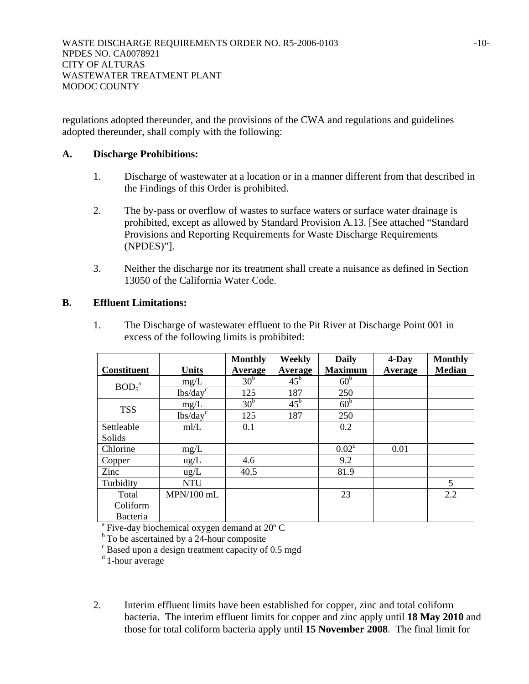regulations adopted thereunder, and the provisions of the CWA and regulations and guidelines adopted thereunder, shall comply with the following:

## **A. Discharge Prohibitions:**

- 1. Discharge of wastewater at a location or in a manner different from that described in the Findings of this Order is prohibited.
- 2. The by-pass or overflow of wastes to surface waters or surface water drainage is prohibited, except as allowed by Standard Provision A.13. [See attached "Standard Provisions and Reporting Requirements for Waste Discharge Requirements (NPDES)"].
- 3. Neither the discharge nor its treatment shall create a nuisance as defined in Section 13050 of the California Water Code.

# **B. Effluent Limitations:**

1. The Discharge of wastewater effluent to the Pit River at Discharge Point 001 in excess of the following limits is prohibited:

|                               |                      | <b>Monthly</b>  | Weekly       | <b>Daily</b>      | 4-Day   | <b>Monthly</b>  |
|-------------------------------|----------------------|-----------------|--------------|-------------------|---------|-----------------|
| <b>Constituent</b>            | <b>Units</b>         | Average         | Average      | <b>Maximum</b>    | Average | <b>Median</b>   |
| BOD <sub>5</sub> <sup>a</sup> | mg/L                 | 30 <sup>b</sup> | $45^{\rm b}$ | 60 <sup>b</sup>   |         |                 |
|                               | lbs/day <sup>c</sup> | 125             | 187          | 250               |         |                 |
| <b>TSS</b>                    | mg/L                 | 30 <sup>b</sup> | $45^{\rm b}$ | 60 <sup>b</sup>   |         |                 |
|                               | lbs/day <sup>c</sup> | 125             | 187          | 250               |         |                 |
| Settleable                    | m/L                  | 0.1             |              | 0.2               |         |                 |
| Solids                        |                      |                 |              |                   |         |                 |
| Chlorine                      | mg/L                 |                 |              | 0.02 <sup>d</sup> | 0.01    |                 |
| Copper                        | $\text{ug/L}$        | 4.6             |              | 9.2               |         |                 |
| Zinc                          | ug/L                 | 40.5            |              | 81.9              |         |                 |
| Turbidity                     | <b>NTU</b>           |                 |              |                   |         | $5\overline{)}$ |
| Total                         | $MPN/100$ mL         |                 |              | 23                |         | 2.2             |
| Coliform                      |                      |                 |              |                   |         |                 |
| Bacteria                      |                      |                 |              |                   |         |                 |

<sup>a</sup> Five-day biochemical oxygen demand at 20° C

 $<sup>b</sup>$  To be ascertained by a 24-hour composite</sup>

 $\degree$  Based upon a design treatment capacity of 0.5 mgd

 $d$  1-hour average

2. Interim effluent limits have been established for copper, zinc and total coliform bacteria. The interim effluent limits for copper and zinc apply until **18 May 2010** and those for total coliform bacteria apply until **15 November 2008**. The final limit for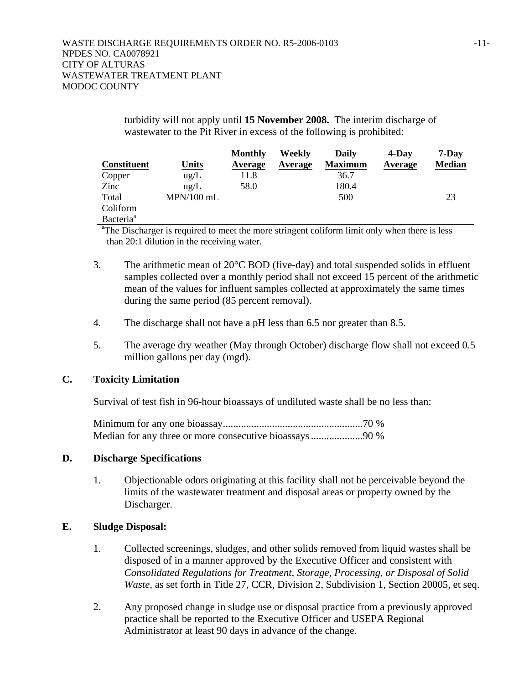turbidity will not apply until **15 November 2008.** The interim discharge of wastewater to the Pit River in excess of the following is prohibited:

|                       |               | Monthly | Weekly  | Daily          | $4$ -Day | $7-Day$       |
|-----------------------|---------------|---------|---------|----------------|----------|---------------|
| <b>Constituent</b>    | <b>Units</b>  | Average | Average | <b>Maximum</b> | Average  | <b>Median</b> |
| Copper                | $\text{ug/L}$ | 11.8    |         | 36.7           |          |               |
| Zinc                  | $u\Omega/L$   | 58.0    |         | 180.4          |          |               |
| Total                 | $MPN/100$ mL  |         |         | 500            |          | 23            |
| Coliform              |               |         |         |                |          |               |
| Bacteria <sup>a</sup> |               |         |         |                |          |               |

<sup>a</sup>The Discharger is required to meet the more stringent coliform limit only when there is less than 20:1 dilution in the receiving water.

- 3. The arithmetic mean of 20°C BOD (five-day) and total suspended solids in effluent samples collected over a monthly period shall not exceed 15 percent of the arithmetic mean of the values for influent samples collected at approximately the same times during the same period (85 percent removal).
- 4. The discharge shall not have a pH less than 6.5 nor greater than 8.5.
- 5. The average dry weather (May through October) discharge flow shall not exceed 0.5 million gallons per day (mgd).

## **C. Toxicity Limitation**

Survival of test fish in 96-hour bioassays of undiluted waste shall be no less than:

Minimum for any one bioassay......................................................70 % Median for any three or more consecutive bioassays ....................90 %

## **D. Discharge Specifications**

1. Objectionable odors originating at this facility shall not be perceivable beyond the limits of the wastewater treatment and disposal areas or property owned by the Discharger.

## **E. Sludge Disposal:**

- 1. Collected screenings, sludges, and other solids removed from liquid wastes shall be disposed of in a manner approved by the Executive Officer and consistent with *Consolidated Regulations for Treatment, Storage, Processing, or Disposal of Solid Waste,* as set forth in Title 27, CCR, Division 2, Subdivision 1, Section 20005, et seq.
- 2. Any proposed change in sludge use or disposal practice from a previously approved practice shall be reported to the Executive Officer and USEPA Regional Administrator at least 90 days in advance of the change.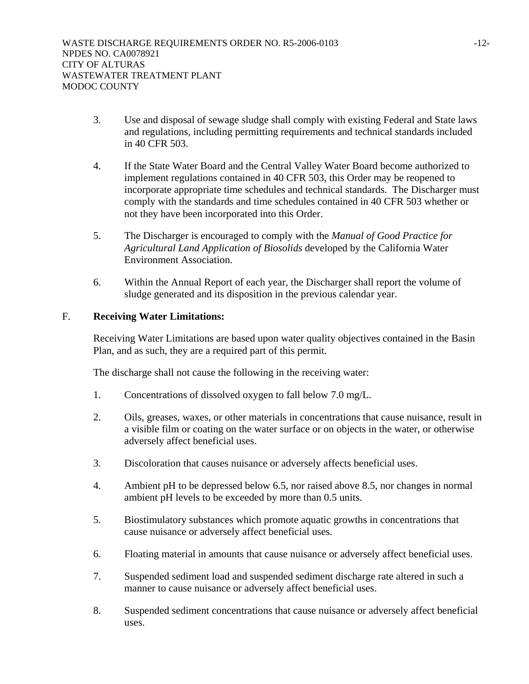- 3. Use and disposal of sewage sludge shall comply with existing Federal and State laws and regulations, including permitting requirements and technical standards included in 40 CFR 503.
- 4. If the State Water Board and the Central Valley Water Board become authorized to implement regulations contained in 40 CFR 503, this Order may be reopened to incorporate appropriate time schedules and technical standards. The Discharger must comply with the standards and time schedules contained in 40 CFR 503 whether or not they have been incorporated into this Order.
- 5. The Discharger is encouraged to comply with the *Manual of Good Practice for Agricultural Land Application of Biosolids* developed by the California Water Environment Association.
- 6. Within the Annual Report of each year, the Discharger shall report the volume of sludge generated and its disposition in the previous calendar year.

# F. **Receiving Water Limitations:**

Receiving Water Limitations are based upon water quality objectives contained in the Basin Plan, and as such, they are a required part of this permit.

The discharge shall not cause the following in the receiving water:

- 1. Concentrations of dissolved oxygen to fall below 7.0 mg/L.
- 2. Oils, greases, waxes, or other materials in concentrations that cause nuisance, result in a visible film or coating on the water surface or on objects in the water, or otherwise adversely affect beneficial uses.
- 3. Discoloration that causes nuisance or adversely affects beneficial uses.
- 4. Ambient pH to be depressed below 6.5, nor raised above 8.5, nor changes in normal ambient pH levels to be exceeded by more than 0.5 units.
- 5. Biostimulatory substances which promote aquatic growths in concentrations that cause nuisance or adversely affect beneficial uses.
- 6. Floating material in amounts that cause nuisance or adversely affect beneficial uses.
- 7. Suspended sediment load and suspended sediment discharge rate altered in such a manner to cause nuisance or adversely affect beneficial uses.
- 8. Suspended sediment concentrations that cause nuisance or adversely affect beneficial uses.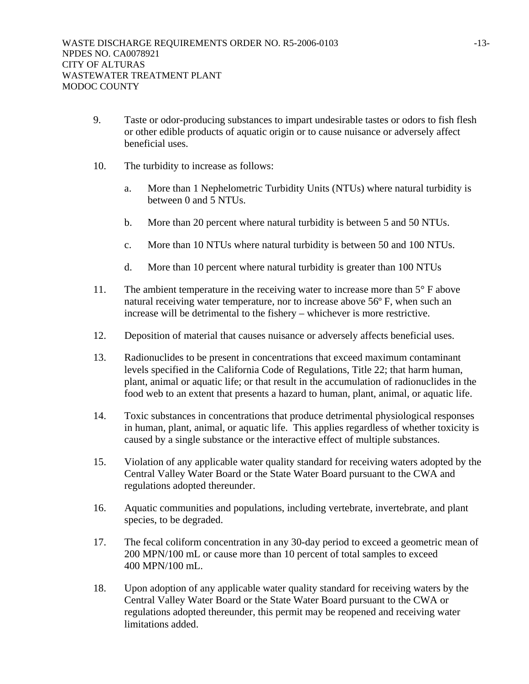- 9. Taste or odor-producing substances to impart undesirable tastes or odors to fish flesh or other edible products of aquatic origin or to cause nuisance or adversely affect beneficial uses.
- 10. The turbidity to increase as follows:
	- a. More than 1 Nephelometric Turbidity Units (NTUs) where natural turbidity is between 0 and 5 NTUs.
	- b. More than 20 percent where natural turbidity is between 5 and 50 NTUs.
	- c. More than 10 NTUs where natural turbidity is between 50 and 100 NTUs.
	- d. More than 10 percent where natural turbidity is greater than 100 NTUs
- 11. The ambient temperature in the receiving water to increase more than 5° F above natural receiving water temperature, nor to increase above 56º F, when such an increase will be detrimental to the fishery – whichever is more restrictive.
- 12. Deposition of material that causes nuisance or adversely affects beneficial uses.
- 13. Radionuclides to be present in concentrations that exceed maximum contaminant levels specified in the California Code of Regulations, Title 22; that harm human, plant, animal or aquatic life; or that result in the accumulation of radionuclides in the food web to an extent that presents a hazard to human, plant, animal, or aquatic life.
- 14. Toxic substances in concentrations that produce detrimental physiological responses in human, plant, animal, or aquatic life. This applies regardless of whether toxicity is caused by a single substance or the interactive effect of multiple substances.
- 15. Violation of any applicable water quality standard for receiving waters adopted by the Central Valley Water Board or the State Water Board pursuant to the CWA and regulations adopted thereunder.
- 16. Aquatic communities and populations, including vertebrate, invertebrate, and plant species, to be degraded.
- 17. The fecal coliform concentration in any 30-day period to exceed a geometric mean of 200 MPN/100 mL or cause more than 10 percent of total samples to exceed 400 MPN/100 mL.
- 18. Upon adoption of any applicable water quality standard for receiving waters by the Central Valley Water Board or the State Water Board pursuant to the CWA or regulations adopted thereunder, this permit may be reopened and receiving water limitations added.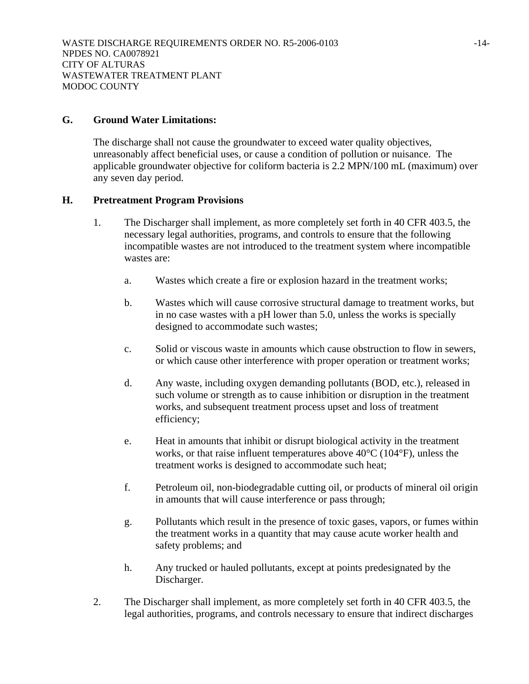#### **G. Ground Water Limitations:**

The discharge shall not cause the groundwater to exceed water quality objectives, unreasonably affect beneficial uses, or cause a condition of pollution or nuisance. The applicable groundwater objective for coliform bacteria is 2.2 MPN/100 mL (maximum) over any seven day period.

#### **H. Pretreatment Program Provisions**

- 1. The Discharger shall implement, as more completely set forth in 40 CFR 403.5, the necessary legal authorities, programs, and controls to ensure that the following incompatible wastes are not introduced to the treatment system where incompatible wastes are:
	- a. Wastes which create a fire or explosion hazard in the treatment works;
	- b. Wastes which will cause corrosive structural damage to treatment works, but in no case wastes with a pH lower than 5.0, unless the works is specially designed to accommodate such wastes;
	- c. Solid or viscous waste in amounts which cause obstruction to flow in sewers, or which cause other interference with proper operation or treatment works;
	- d. Any waste, including oxygen demanding pollutants (BOD, etc.), released in such volume or strength as to cause inhibition or disruption in the treatment works, and subsequent treatment process upset and loss of treatment efficiency;
	- e. Heat in amounts that inhibit or disrupt biological activity in the treatment works, or that raise influent temperatures above 40°C (104°F), unless the treatment works is designed to accommodate such heat;
	- f. Petroleum oil, non-biodegradable cutting oil, or products of mineral oil origin in amounts that will cause interference or pass through;
	- g. Pollutants which result in the presence of toxic gases, vapors, or fumes within the treatment works in a quantity that may cause acute worker health and safety problems; and
	- h. Any trucked or hauled pollutants, except at points predesignated by the Discharger.
- 2. The Discharger shall implement, as more completely set forth in 40 CFR 403.5, the legal authorities, programs, and controls necessary to ensure that indirect discharges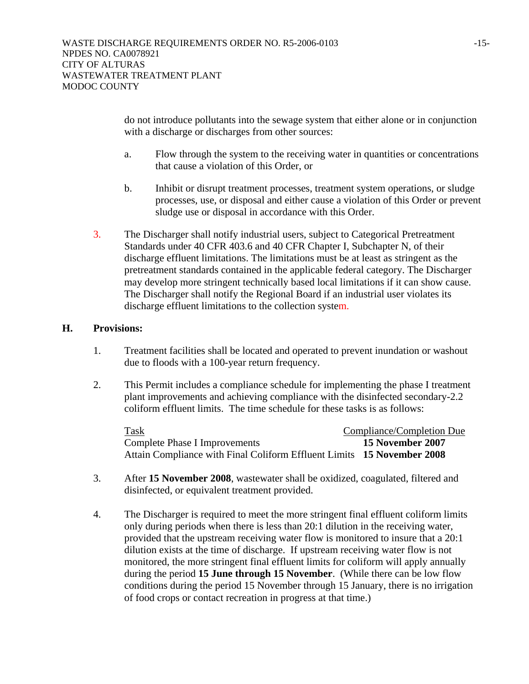do not introduce pollutants into the sewage system that either alone or in conjunction with a discharge or discharges from other sources:

- a. Flow through the system to the receiving water in quantities or concentrations that cause a violation of this Order, or
- b. Inhibit or disrupt treatment processes, treatment system operations, or sludge processes, use, or disposal and either cause a violation of this Order or prevent sludge use or disposal in accordance with this Order.
- 3. The Discharger shall notify industrial users, subject to Categorical Pretreatment Standards under 40 CFR 403.6 and 40 CFR Chapter I, Subchapter N, of their discharge effluent limitations. The limitations must be at least as stringent as the pretreatment standards contained in the applicable federal category. The Discharger may develop more stringent technically based local limitations if it can show cause. The Discharger shall notify the Regional Board if an industrial user violates its discharge effluent limitations to the collection system.

## **H. Provisions:**

- 1. Treatment facilities shall be located and operated to prevent inundation or washout due to floods with a 100-year return frequency.
- 2. This Permit includes a compliance schedule for implementing the phase I treatment plant improvements and achieving compliance with the disinfected secondary-2.2 coliform effluent limits. The time schedule for these tasks is as follows:

| Task                                                                   | Compliance/Completion Due |
|------------------------------------------------------------------------|---------------------------|
| Complete Phase I Improvements                                          | 15 November 2007          |
| Attain Compliance with Final Coliform Effluent Limits 15 November 2008 |                           |

- 3. After **15 November 2008**, wastewater shall be oxidized, coagulated, filtered and disinfected, or equivalent treatment provided.
- 4. The Discharger is required to meet the more stringent final effluent coliform limits only during periods when there is less than 20:1 dilution in the receiving water, provided that the upstream receiving water flow is monitored to insure that a 20:1 dilution exists at the time of discharge. If upstream receiving water flow is not monitored, the more stringent final effluent limits for coliform will apply annually during the period **15 June through 15 November**. (While there can be low flow conditions during the period 15 November through 15 January, there is no irrigation of food crops or contact recreation in progress at that time.)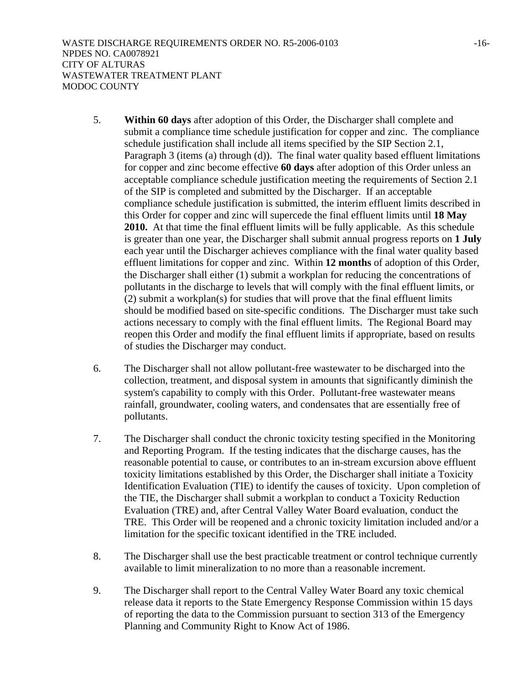- 5. **Within 60 days** after adoption of this Order, the Discharger shall complete and submit a compliance time schedule justification for copper and zinc. The compliance schedule justification shall include all items specified by the SIP Section 2.1, Paragraph 3 (items (a) through (d)). The final water quality based effluent limitations for copper and zinc become effective **60 days** after adoption of this Order unless an acceptable compliance schedule justification meeting the requirements of Section 2.1 of the SIP is completed and submitted by the Discharger. If an acceptable compliance schedule justification is submitted, the interim effluent limits described in this Order for copper and zinc will supercede the final effluent limits until **18 May 2010.** At that time the final effluent limits will be fully applicable. As this schedule is greater than one year, the Discharger shall submit annual progress reports on **1 July**  each year until the Discharger achieves compliance with the final water quality based effluent limitations for copper and zinc. Within **12 months** of adoption of this Order, the Discharger shall either (1) submit a workplan for reducing the concentrations of pollutants in the discharge to levels that will comply with the final effluent limits, or (2) submit a workplan(s) for studies that will prove that the final effluent limits should be modified based on site-specific conditions. The Discharger must take such actions necessary to comply with the final effluent limits. The Regional Board may reopen this Order and modify the final effluent limits if appropriate, based on results of studies the Discharger may conduct.
- 6. The Discharger shall not allow pollutant-free wastewater to be discharged into the collection, treatment, and disposal system in amounts that significantly diminish the system's capability to comply with this Order. Pollutant-free wastewater means rainfall, groundwater, cooling waters, and condensates that are essentially free of pollutants.
- 7. The Discharger shall conduct the chronic toxicity testing specified in the Monitoring and Reporting Program. If the testing indicates that the discharge causes, has the reasonable potential to cause, or contributes to an in-stream excursion above effluent toxicity limitations established by this Order, the Discharger shall initiate a Toxicity Identification Evaluation (TIE) to identify the causes of toxicity. Upon completion of the TIE, the Discharger shall submit a workplan to conduct a Toxicity Reduction Evaluation (TRE) and, after Central Valley Water Board evaluation, conduct the TRE. This Order will be reopened and a chronic toxicity limitation included and/or a limitation for the specific toxicant identified in the TRE included.
- 8. The Discharger shall use the best practicable treatment or control technique currently available to limit mineralization to no more than a reasonable increment.
- 9. The Discharger shall report to the Central Valley Water Board any toxic chemical release data it reports to the State Emergency Response Commission within 15 days of reporting the data to the Commission pursuant to section 313 of the Emergency Planning and Community Right to Know Act of 1986.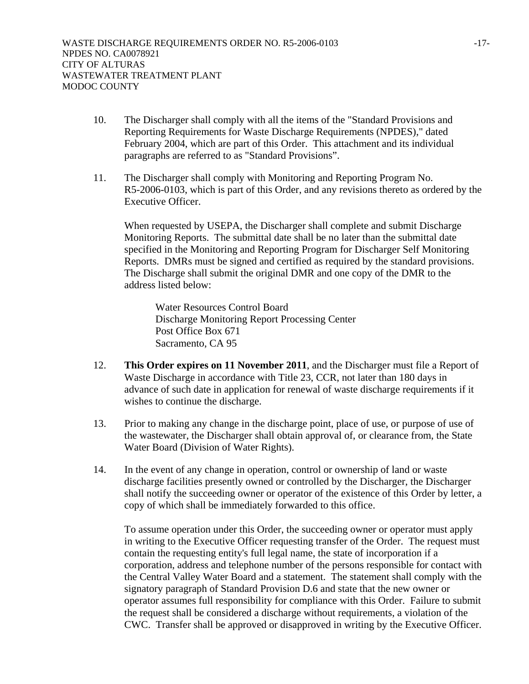- 10. The Discharger shall comply with all the items of the "Standard Provisions and Reporting Requirements for Waste Discharge Requirements (NPDES)," dated February 2004, which are part of this Order. This attachment and its individual paragraphs are referred to as "Standard Provisions".
- 11. The Discharger shall comply with Monitoring and Reporting Program No. R5-2006-0103, which is part of this Order, and any revisions thereto as ordered by the Executive Officer.

When requested by USEPA, the Discharger shall complete and submit Discharge Monitoring Reports. The submittal date shall be no later than the submittal date specified in the Monitoring and Reporting Program for Discharger Self Monitoring Reports. DMRs must be signed and certified as required by the standard provisions. The Discharge shall submit the original DMR and one copy of the DMR to the address listed below:

Water Resources Control Board Discharge Monitoring Report Processing Center Post Office Box 671 Sacramento, CA 95

- 12. **This Order expires on 11 November 2011**, and the Discharger must file a Report of Waste Discharge in accordance with Title 23, CCR, not later than 180 days in advance of such date in application for renewal of waste discharge requirements if it wishes to continue the discharge.
- 13. Prior to making any change in the discharge point, place of use, or purpose of use of the wastewater, the Discharger shall obtain approval of, or clearance from, the State Water Board (Division of Water Rights).
- 14. In the event of any change in operation, control or ownership of land or waste discharge facilities presently owned or controlled by the Discharger, the Discharger shall notify the succeeding owner or operator of the existence of this Order by letter, a copy of which shall be immediately forwarded to this office.

To assume operation under this Order, the succeeding owner or operator must apply in writing to the Executive Officer requesting transfer of the Order. The request must contain the requesting entity's full legal name, the state of incorporation if a corporation, address and telephone number of the persons responsible for contact with the Central Valley Water Board and a statement. The statement shall comply with the signatory paragraph of Standard Provision D.6 and state that the new owner or operator assumes full responsibility for compliance with this Order. Failure to submit the request shall be considered a discharge without requirements, a violation of the CWC. Transfer shall be approved or disapproved in writing by the Executive Officer.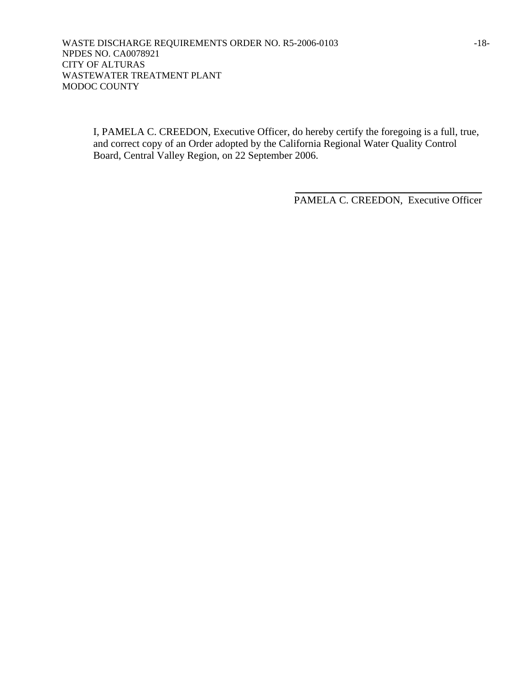I, PAMELA C. CREEDON, Executive Officer, do hereby certify the foregoing is a full, true, and correct copy of an Order adopted by the California Regional Water Quality Control Board, Central Valley Region, on 22 September 2006.

> \_\_\_\_\_\_\_\_\_\_\_\_\_\_\_\_\_\_\_\_\_\_\_\_\_\_\_\_\_\_\_\_\_\_\_\_ PAMELA C. CREEDON, Executive Officer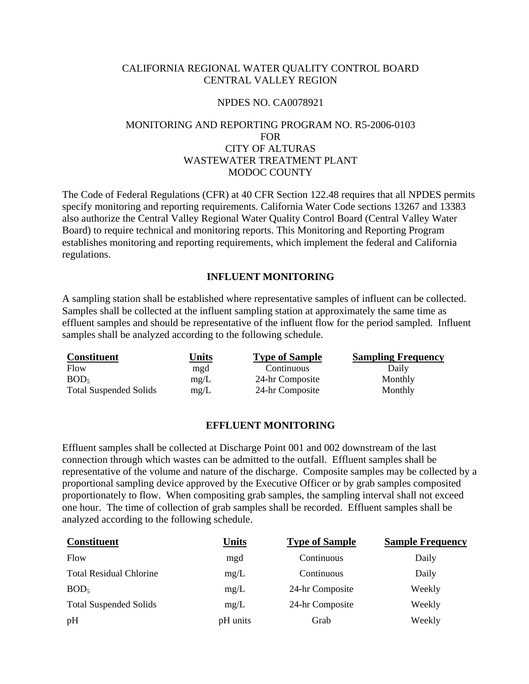## CALIFORNIA REGIONAL WATER QUALITY CONTROL BOARD CENTRAL VALLEY REGION

#### NPDES NO. CA0078921

# MONITORING AND REPORTING PROGRAM NO. R5-2006-0103 FOR CITY OF ALTURAS WASTEWATER TREATMENT PLANT MODOC COUNTY

The Code of Federal Regulations (CFR) at 40 CFR Section 122.48 requires that all NPDES permits specify monitoring and reporting requirements. California Water Code sections 13267 and 13383 also authorize the Central Valley Regional Water Quality Control Board (Central Valley Water Board) to require technical and monitoring reports. This Monitoring and Reporting Program establishes monitoring and reporting requirements, which implement the federal and California regulations.

## **INFLUENT MONITORING**

A sampling station shall be established where representative samples of influent can be collected. Samples shall be collected at the influent sampling station at approximately the same time as effluent samples and should be representative of the influent flow for the period sampled. Influent samples shall be analyzed according to the following schedule.

| <b>Constituent</b>            | Units | <b>Type of Sample</b> | <b>Sampling Frequency</b> |
|-------------------------------|-------|-----------------------|---------------------------|
| Flow                          | mgd   | Continuous            | Daily                     |
| BOD <sub>5</sub>              | mg/L  | 24-hr Composite       | Monthly                   |
| <b>Total Suspended Solids</b> | mg/L  | 24-hr Composite       | Monthly                   |

## **EFFLUENT MONITORING**

Effluent samples shall be collected at Discharge Point 001 and 002 downstream of the last connection through which wastes can be admitted to the outfall. Effluent samples shall be representative of the volume and nature of the discharge. Composite samples may be collected by a proportional sampling device approved by the Executive Officer or by grab samples composited proportionately to flow. When compositing grab samples, the sampling interval shall not exceed one hour. The time of collection of grab samples shall be recorded. Effluent samples shall be analyzed according to the following schedule.

| <b>Constituent</b>             | <b>Units</b> | <b>Type of Sample</b> | <b>Sample Frequency</b> |
|--------------------------------|--------------|-----------------------|-------------------------|
| Flow                           | mgd          | Continuous            | Daily                   |
| <b>Total Residual Chlorine</b> | mg/L         | Continuous            | Daily                   |
| BOD <sub>5</sub>               | mg/L         | 24-hr Composite       | Weekly                  |
| <b>Total Suspended Solids</b>  | mg/L         | 24-hr Composite       | Weekly                  |
| pH                             | pH units     | Grab                  | Weekly                  |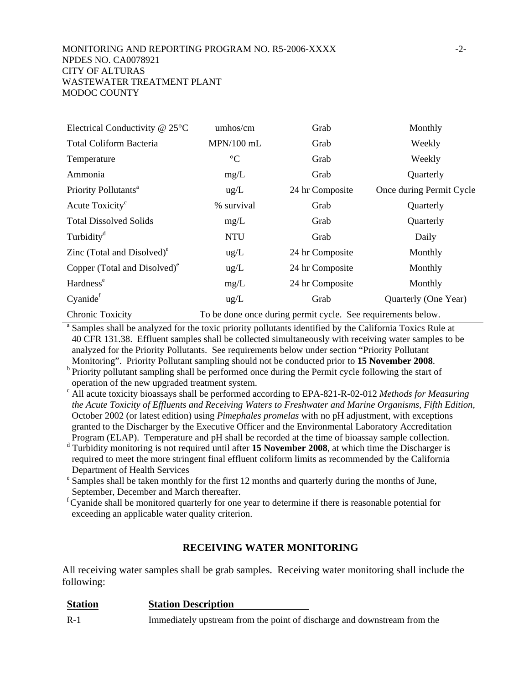| Electrical Conductivity $@$ 25 $°C$ | umhos/cm                                                     | Grab            | Monthly                  |  |
|-------------------------------------|--------------------------------------------------------------|-----------------|--------------------------|--|
| <b>Total Coliform Bacteria</b>      | $MPN/100$ mL                                                 | Grab            | Weekly                   |  |
| Temperature                         | $\rm ^{\circ}C$                                              | Grab            | Weekly                   |  |
| Ammonia                             | mg/L                                                         | Grab            | Quarterly                |  |
| Priority Pollutants <sup>a</sup>    | $\text{ug/L}$                                                | 24 hr Composite | Once during Permit Cycle |  |
| Acute Toxicity <sup>c</sup>         | % survival                                                   | Grab            | Quarterly                |  |
| <b>Total Dissolved Solids</b>       | mg/L                                                         | Grab            | Quarterly                |  |
| Turbidity <sup>d</sup>              | <b>NTU</b>                                                   | Grab            | Daily                    |  |
| Zinc (Total and Disolved) $^e$      | $\text{ug/L}$                                                | 24 hr Composite | Monthly                  |  |
| Copper (Total and Disolved) $^e$    | $\text{ug/L}$                                                | 24 hr Composite | Monthly                  |  |
| Hardness <sup>e</sup>               | mg/L                                                         | 24 hr Composite | Monthly                  |  |
| Cyanide <sup>f</sup>                | $\text{ug/L}$                                                | Grab            | Quarterly (One Year)     |  |
| Chronic Toxicity                    | To be done once during permit cycle. See requirements below. |                 |                          |  |

<sup>a</sup> Samples shall be analyzed for the toxic priority pollutants identified by the California Toxics Rule at 40 CFR 131.38. Effluent samples shall be collected simultaneously with receiving water samples to be analyzed for the Priority Pollutants. See requirements below under section "Priority Pollutant

Monitoring". Priority Pollutant sampling should not be conducted prior to **15 November 2008**.<br><sup>b</sup> Priority pollutant sampling shall be performed once during the Permit cycle following the start of operation of the new upgraded treatment system.

c All acute toxicity bioassays shall be performed according to EPA-821-R-02-012 *Methods for Measuring the Acute Toxicity of Effluents and Receiving Waters to Freshwater and Marine Organisms, Fifth Edition,* October 2002 (or latest edition) using *Pimephales promelas* with no pH adjustment, with exceptions granted to the Discharger by the Executive Officer and the Environmental Laboratory Accreditation Program (ELAP). Temperature and pH shall be recorded at the time of bioassay sample collection.

d Turbidity monitoring is not required until after **15 November 2008**, at which time the Discharger is required to meet the more stringent final effluent coliform limits as recommended by the California Department of Health Services

<sup>e</sup> Samples shall be taken monthly for the first 12 months and quarterly during the months of June, September, December and March thereafter.

 ${}^f$ Cyanide shall be monitored quarterly for one year to determine if there is reasonable potential for exceeding an applicable water quality criterion.

## **RECEIVING WATER MONITORING**

All receiving water samples shall be grab samples. Receiving water monitoring shall include the following:

| <b>Station</b> | <b>Station Description</b>                                               |
|----------------|--------------------------------------------------------------------------|
| $R-1$          | Immediately upstream from the point of discharge and downstream from the |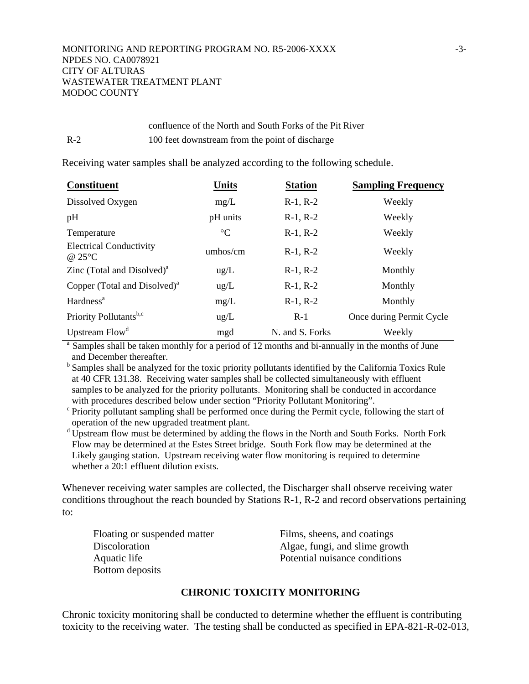# confluence of the North and South Forks of the Pit River R-2 100 feet downstream from the point of discharge

Receiving water samples shall be analyzed according to the following schedule.

| <b>Constituent</b>                       | <b>Units</b>    | <b>Station</b>  | <b>Sampling Frequency</b> |
|------------------------------------------|-----------------|-----------------|---------------------------|
| Dissolved Oxygen                         | mg/L            | $R-1, R-2$      | Weekly                    |
| pH                                       | pH units        | $R-1, R-2$      | Weekly                    |
| Temperature                              | $\rm ^{\circ}C$ | $R-1, R-2$      | Weekly                    |
| <b>Electrical Conductivity</b><br>@25°C  | umbos/cm        | $R-1, R-2$      | Weekly                    |
| Zinc (Total and Disolved) $a$            | ug/L            | $R-1, R-2$      | Monthly                   |
| Copper (Total and Disolved) <sup>a</sup> | $\text{ug/L}$   | $R-1, R-2$      | Monthly                   |
| Hardness <sup>a</sup>                    | mg/L            | $R-1, R-2$      | Monthly                   |
| Priority Pollutants <sup>b,c</sup>       | $\text{ug/L}$   | $R-1$           | Once during Permit Cycle  |
| Upstream Flow <sup>d</sup>               | mgd             | N. and S. Forks | Weekly                    |

<sup>a</sup> Samples shall be taken monthly for a period of 12 months and bi-annually in the months of June and December thereafter.

<sup>b</sup> Samples shall be analyzed for the toxic priority pollutants identified by the California Toxics Rule at 40 CFR 131.38. Receiving water samples shall be collected simultaneously with effluent samples to be analyzed for the priority pollutants. Monitoring shall be conducted in accordance with procedures described below under section "Priority Pollutant Monitoring".

 $\epsilon$  Priority pollutant sampling shall be performed once during the Permit cycle, following the start of operation of the new upgraded treatment plant.

<sup>d</sup> Upstream flow must be determined by adding the flows in the North and South Forks. North Fork Flow may be determined at the Estes Street bridge. South Fork flow may be determined at the Likely gauging station. Upstream receiving water flow monitoring is required to determine whether a 20:1 effluent dilution exists.

Whenever receiving water samples are collected, the Discharger shall observe receiving water conditions throughout the reach bounded by Stations R-1, R-2 and record observations pertaining to:

Floating or suspended matter Films, sheens, and coatings Bottom deposits

Discoloration Algae, fungi, and slime growth Aquatic life **Potential nuisance conditions** 

# **CHRONIC TOXICITY MONITORING**

Chronic toxicity monitoring shall be conducted to determine whether the effluent is contributing toxicity to the receiving water. The testing shall be conducted as specified in EPA-821-R-02-013*,*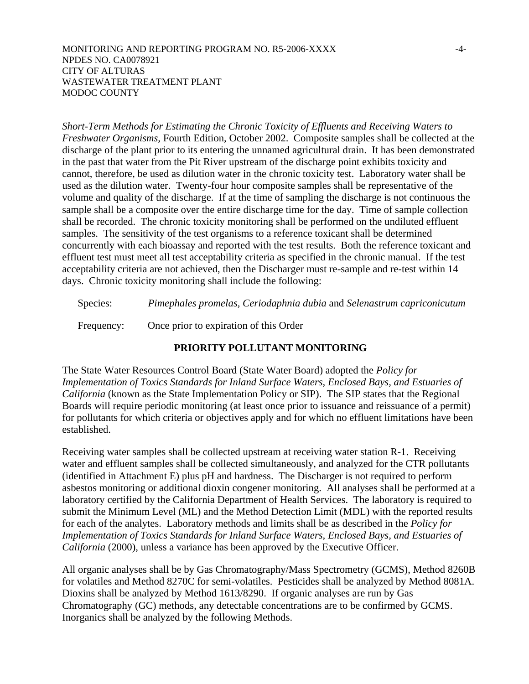#### MONITORING AND REPORTING PROGRAM NO. R5-2006-XXXX  $-4$ -NPDES NO. CA0078921 CITY OF ALTURAS WASTEWATER TREATMENT PLANT MODOC COUNTY

*Short-Term Methods for Estimating the Chronic Toxicity of Effluents and Receiving Waters to Freshwater Organisms,* Fourth Edition, October 2002. Composite samples shall be collected at the discharge of the plant prior to its entering the unnamed agricultural drain. It has been demonstrated in the past that water from the Pit River upstream of the discharge point exhibits toxicity and cannot, therefore, be used as dilution water in the chronic toxicity test. Laboratory water shall be used as the dilution water. Twenty-four hour composite samples shall be representative of the volume and quality of the discharge. If at the time of sampling the discharge is not continuous the sample shall be a composite over the entire discharge time for the day. Time of sample collection shall be recorded. The chronic toxicity monitoring shall be performed on the undiluted effluent samples. The sensitivity of the test organisms to a reference toxicant shall be determined concurrently with each bioassay and reported with the test results. Both the reference toxicant and effluent test must meet all test acceptability criteria as specified in the chronic manual. If the test acceptability criteria are not achieved, then the Discharger must re-sample and re-test within 14 days. Chronic toxicity monitoring shall include the following:

Species: *Pimephales promelas, Ceriodaphnia dubia* and *Selenastrum capriconicutum*

Frequency: Once prior to expiration of this Order

## **PRIORITY POLLUTANT MONITORING**

The State Water Resources Control Board (State Water Board) adopted the *Policy for Implementation of Toxics Standards for Inland Surface Waters, Enclosed Bays, and Estuaries of California* (known as the State Implementation Policy or SIP). The SIP states that the Regional Boards will require periodic monitoring (at least once prior to issuance and reissuance of a permit) for pollutants for which criteria or objectives apply and for which no effluent limitations have been established.

Receiving water samples shall be collected upstream at receiving water station R-1. Receiving water and effluent samples shall be collected simultaneously, and analyzed for the CTR pollutants (identified in Attachment E) plus pH and hardness. The Discharger is not required to perform asbestos monitoring or additional dioxin congener monitoring. All analyses shall be performed at a laboratory certified by the California Department of Health Services. The laboratory is required to submit the Minimum Level (ML) and the Method Detection Limit (MDL) with the reported results for each of the analytes. Laboratory methods and limits shall be as described in the *Policy for Implementation of Toxics Standards for Inland Surface Waters, Enclosed Bays, and Estuaries of California* (2000), unless a variance has been approved by the Executive Officer.

All organic analyses shall be by Gas Chromatography/Mass Spectrometry (GCMS), Method 8260B for volatiles and Method 8270C for semi-volatiles. Pesticides shall be analyzed by Method 8081A. Dioxins shall be analyzed by Method 1613/8290. If organic analyses are run by Gas Chromatography (GC) methods, any detectable concentrations are to be confirmed by GCMS. Inorganics shall be analyzed by the following Methods.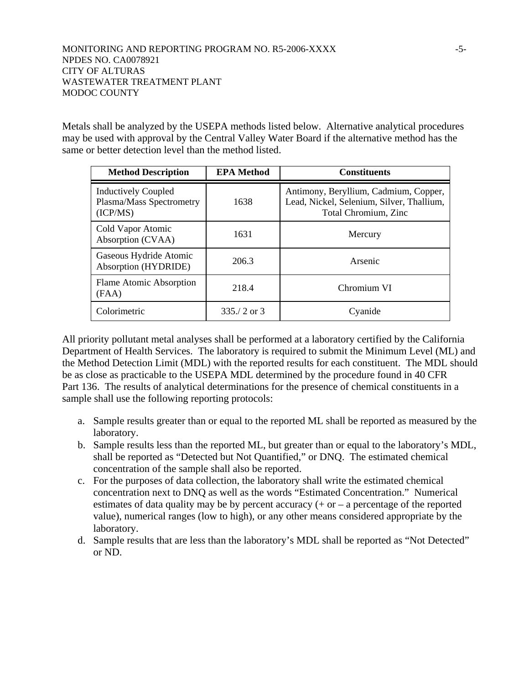Metals shall be analyzed by the USEPA methods listed below. Alternative analytical procedures may be used with approval by the Central Valley Water Board if the alternative method has the same or better detection level than the method listed.

| <b>Method Description</b>                                          | <b>EPA Method</b> | <b>Constituents</b>                                                                                        |
|--------------------------------------------------------------------|-------------------|------------------------------------------------------------------------------------------------------------|
| <b>Inductively Coupled</b><br>Plasma/Mass Spectrometry<br>(ICP/MS) | 1638              | Antimony, Beryllium, Cadmium, Copper,<br>Lead, Nickel, Selenium, Silver, Thallium,<br>Total Chromium, Zinc |
| Cold Vapor Atomic<br>Absorption (CVAA)                             | 1631              | Mercury                                                                                                    |
| Gaseous Hydride Atomic<br>Absorption (HYDRIDE)                     | 206.3             | Arsenic                                                                                                    |
| Flame Atomic Absorption<br>(FAA)                                   | 218.4             | Chromium VI                                                                                                |
| Colorimetric                                                       | $335/2$ or 3      | Cyanide                                                                                                    |

All priority pollutant metal analyses shall be performed at a laboratory certified by the California Department of Health Services. The laboratory is required to submit the Minimum Level (ML) and the Method Detection Limit (MDL) with the reported results for each constituent. The MDL should be as close as practicable to the USEPA MDL determined by the procedure found in 40 CFR Part 136. The results of analytical determinations for the presence of chemical constituents in a sample shall use the following reporting protocols:

- a. Sample results greater than or equal to the reported ML shall be reported as measured by the laboratory.
- b. Sample results less than the reported ML, but greater than or equal to the laboratory's MDL, shall be reported as "Detected but Not Quantified," or DNQ. The estimated chemical concentration of the sample shall also be reported.
- c. For the purposes of data collection, the laboratory shall write the estimated chemical concentration next to DNQ as well as the words "Estimated Concentration." Numerical estimates of data quality may be by percent accuracy  $(+ or - a$  percentage of the reported value), numerical ranges (low to high), or any other means considered appropriate by the laboratory.
- d. Sample results that are less than the laboratory's MDL shall be reported as "Not Detected" or ND.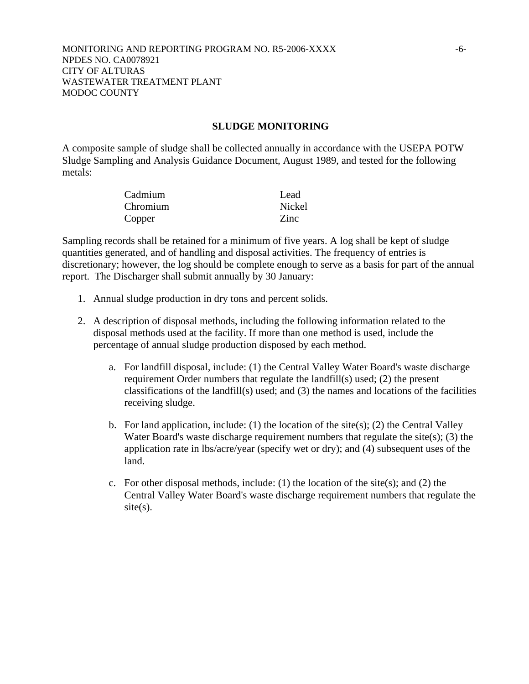#### **SLUDGE MONITORING**

A composite sample of sludge shall be collected annually in accordance with the USEPA POTW Sludge Sampling and Analysis Guidance Document, August 1989, and tested for the following metals:

| Cadmium  | Lead   |
|----------|--------|
| Chromium | Nickel |
| Copper   | Zinc.  |

Sampling records shall be retained for a minimum of five years. A log shall be kept of sludge quantities generated, and of handling and disposal activities. The frequency of entries is discretionary; however, the log should be complete enough to serve as a basis for part of the annual report. The Discharger shall submit annually by 30 January:

- 1. Annual sludge production in dry tons and percent solids.
- 2. A description of disposal methods, including the following information related to the disposal methods used at the facility. If more than one method is used, include the percentage of annual sludge production disposed by each method.
	- a. For landfill disposal, include: (1) the Central Valley Water Board's waste discharge requirement Order numbers that regulate the landfill(s) used; (2) the present classifications of the landfill(s) used; and (3) the names and locations of the facilities receiving sludge.
	- b. For land application, include: (1) the location of the site(s); (2) the Central Valley Water Board's waste discharge requirement numbers that regulate the site $(s)$ ;  $(3)$  the application rate in lbs/acre/year (specify wet or dry); and (4) subsequent uses of the land.
	- c. For other disposal methods, include: (1) the location of the site(s); and (2) the Central Valley Water Board's waste discharge requirement numbers that regulate the  $site(s)$ .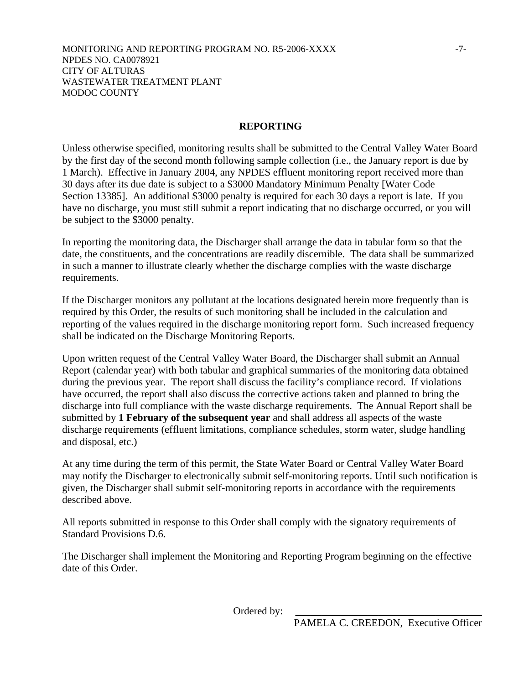## **REPORTING**

Unless otherwise specified, monitoring results shall be submitted to the Central Valley Water Board by the first day of the second month following sample collection (i.e., the January report is due by 1 March). Effective in January 2004, any NPDES effluent monitoring report received more than 30 days after its due date is subject to a \$3000 Mandatory Minimum Penalty [Water Code Section 13385]. An additional \$3000 penalty is required for each 30 days a report is late. If you have no discharge, you must still submit a report indicating that no discharge occurred, or you will be subject to the \$3000 penalty.

In reporting the monitoring data, the Discharger shall arrange the data in tabular form so that the date, the constituents, and the concentrations are readily discernible. The data shall be summarized in such a manner to illustrate clearly whether the discharge complies with the waste discharge requirements.

If the Discharger monitors any pollutant at the locations designated herein more frequently than is required by this Order, the results of such monitoring shall be included in the calculation and reporting of the values required in the discharge monitoring report form. Such increased frequency shall be indicated on the Discharge Monitoring Reports.

Upon written request of the Central Valley Water Board, the Discharger shall submit an Annual Report (calendar year) with both tabular and graphical summaries of the monitoring data obtained during the previous year. The report shall discuss the facility's compliance record. If violations have occurred, the report shall also discuss the corrective actions taken and planned to bring the discharge into full compliance with the waste discharge requirements. The Annual Report shall be submitted by **1 February of the subsequent year** and shall address all aspects of the waste discharge requirements (effluent limitations, compliance schedules, storm water, sludge handling and disposal, etc.)

At any time during the term of this permit, the State Water Board or Central Valley Water Board may notify the Discharger to electronically submit self-monitoring reports. Until such notification is given, the Discharger shall submit self-monitoring reports in accordance with the requirements described above.

All reports submitted in response to this Order shall comply with the signatory requirements of Standard Provisions D.6.

The Discharger shall implement the Monitoring and Reporting Program beginning on the effective date of this Order.

Ordered by: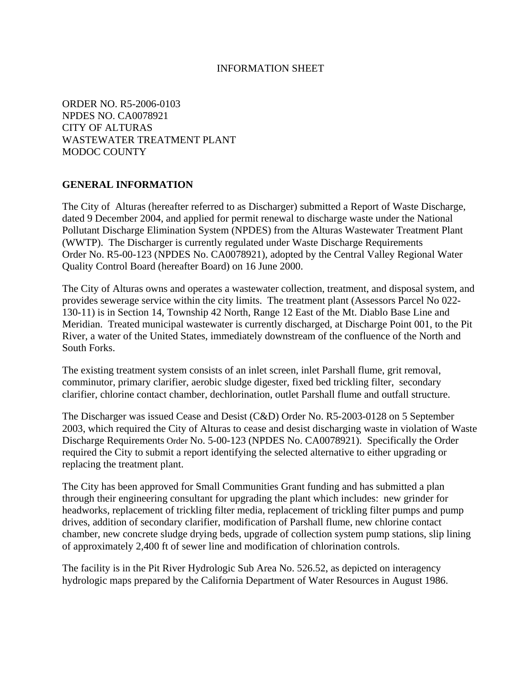#### INFORMATION SHEET

ORDER NO. R5-2006-0103 NPDES NO. CA0078921 CITY OF ALTURAS WASTEWATER TREATMENT PLANT MODOC COUNTY

## **GENERAL INFORMATION**

The City of Alturas (hereafter referred to as Discharger) submitted a Report of Waste Discharge, dated 9 December 2004, and applied for permit renewal to discharge waste under the National Pollutant Discharge Elimination System (NPDES) from the Alturas Wastewater Treatment Plant (WWTP). The Discharger is currently regulated under Waste Discharge Requirements Order No. R5-00-123 (NPDES No. CA0078921), adopted by the Central Valley Regional Water Quality Control Board (hereafter Board) on 16 June 2000.

The City of Alturas owns and operates a wastewater collection, treatment, and disposal system, and provides sewerage service within the city limits. The treatment plant (Assessors Parcel No 022- 130-11) is in Section 14, Township 42 North, Range 12 East of the Mt. Diablo Base Line and Meridian. Treated municipal wastewater is currently discharged, at Discharge Point 001, to the Pit River, a water of the United States, immediately downstream of the confluence of the North and South Forks.

The existing treatment system consists of an inlet screen, inlet Parshall flume, grit removal, comminutor, primary clarifier, aerobic sludge digester, fixed bed trickling filter, secondary clarifier, chlorine contact chamber, dechlorination, outlet Parshall flume and outfall structure.

The Discharger was issued Cease and Desist (C&D) Order No. R5-2003-0128 on 5 September 2003, which required the City of Alturas to cease and desist discharging waste in violation of Waste Discharge Requirements Order No. 5-00-123 (NPDES No. CA0078921). Specifically the Order required the City to submit a report identifying the selected alternative to either upgrading or replacing the treatment plant.

The City has been approved for Small Communities Grant funding and has submitted a plan through their engineering consultant for upgrading the plant which includes: new grinder for headworks, replacement of trickling filter media, replacement of trickling filter pumps and pump drives, addition of secondary clarifier, modification of Parshall flume, new chlorine contact chamber, new concrete sludge drying beds, upgrade of collection system pump stations, slip lining of approximately 2,400 ft of sewer line and modification of chlorination controls.

The facility is in the Pit River Hydrologic Sub Area No. 526.52, as depicted on interagency hydrologic maps prepared by the California Department of Water Resources in August 1986.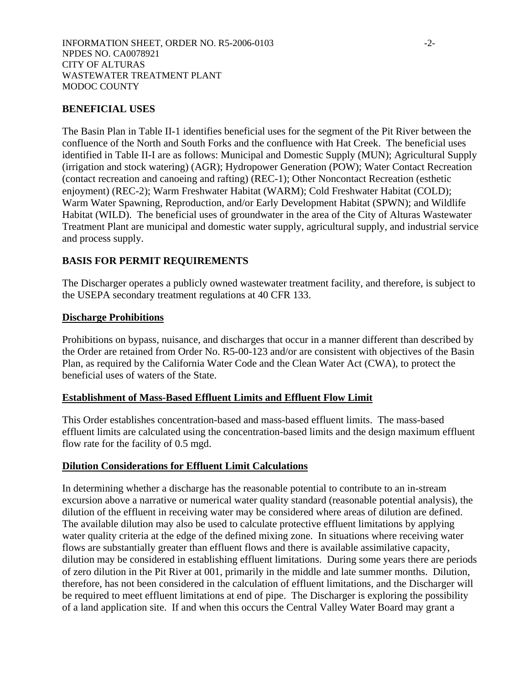## **BENEFICIAL USES**

The Basin Plan in Table II-1 identifies beneficial uses for the segment of the Pit River between the confluence of the North and South Forks and the confluence with Hat Creek. The beneficial uses identified in Table II-I are as follows: Municipal and Domestic Supply (MUN); Agricultural Supply (irrigation and stock watering) (AGR); Hydropower Generation (POW); Water Contact Recreation (contact recreation and canoeing and rafting) (REC-1); Other Noncontact Recreation (esthetic enjoyment) (REC-2); Warm Freshwater Habitat (WARM); Cold Freshwater Habitat (COLD); Warm Water Spawning, Reproduction, and/or Early Development Habitat (SPWN); and Wildlife Habitat (WILD). The beneficial uses of groundwater in the area of the City of Alturas Wastewater Treatment Plant are municipal and domestic water supply, agricultural supply, and industrial service and process supply.

## **BASIS FOR PERMIT REQUIREMENTS**

The Discharger operates a publicly owned wastewater treatment facility, and therefore, is subject to the USEPA secondary treatment regulations at 40 CFR 133.

## **Discharge Prohibitions**

Prohibitions on bypass, nuisance, and discharges that occur in a manner different than described by the Order are retained from Order No. R5-00-123 and/or are consistent with objectives of the Basin Plan, as required by the California Water Code and the Clean Water Act (CWA), to protect the beneficial uses of waters of the State.

## **Establishment of Mass-Based Effluent Limits and Effluent Flow Limit**

This Order establishes concentration-based and mass-based effluent limits. The mass-based effluent limits are calculated using the concentration-based limits and the design maximum effluent flow rate for the facility of 0.5 mgd.

## **Dilution Considerations for Effluent Limit Calculations**

In determining whether a discharge has the reasonable potential to contribute to an in-stream excursion above a narrative or numerical water quality standard (reasonable potential analysis), the dilution of the effluent in receiving water may be considered where areas of dilution are defined. The available dilution may also be used to calculate protective effluent limitations by applying water quality criteria at the edge of the defined mixing zone. In situations where receiving water flows are substantially greater than effluent flows and there is available assimilative capacity, dilution may be considered in establishing effluent limitations. During some years there are periods of zero dilution in the Pit River at 001, primarily in the middle and late summer months. Dilution, therefore, has not been considered in the calculation of effluent limitations, and the Discharger will be required to meet effluent limitations at end of pipe. The Discharger is exploring the possibility of a land application site. If and when this occurs the Central Valley Water Board may grant a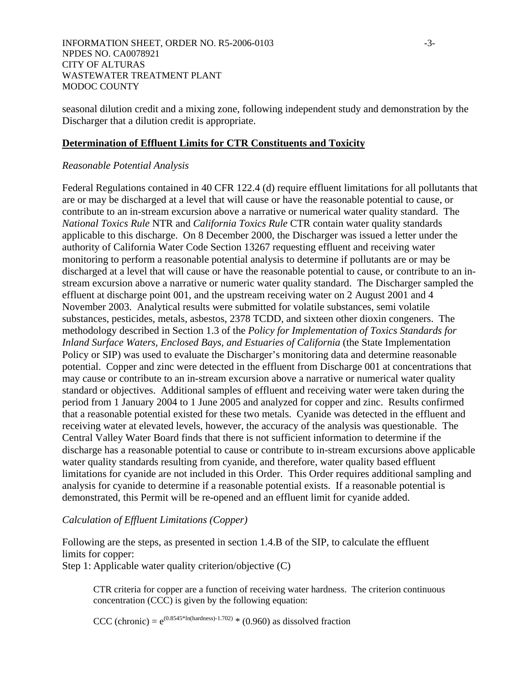seasonal dilution credit and a mixing zone, following independent study and demonstration by the Discharger that a dilution credit is appropriate.

# **Determination of Effluent Limits for CTR Constituents and Toxicity**

## *Reasonable Potential Analysis*

Federal Regulations contained in 40 CFR 122.4 (d) require effluent limitations for all pollutants that are or may be discharged at a level that will cause or have the reasonable potential to cause, or contribute to an in-stream excursion above a narrative or numerical water quality standard. The *National Toxics Rule* NTR and *California Toxics Rule* CTR contain water quality standards applicable to this discharge. On 8 December 2000, the Discharger was issued a letter under the authority of California Water Code Section 13267 requesting effluent and receiving water monitoring to perform a reasonable potential analysis to determine if pollutants are or may be discharged at a level that will cause or have the reasonable potential to cause, or contribute to an instream excursion above a narrative or numeric water quality standard. The Discharger sampled the effluent at discharge point 001, and the upstream receiving water on 2 August 2001 and 4 November 2003. Analytical results were submitted for volatile substances, semi volatile substances, pesticides, metals, asbestos, 2378 TCDD, and sixteen other dioxin congeners. The methodology described in Section 1.3 of the *Policy for Implementation of Toxics Standards for Inland Surface Waters, Enclosed Bays, and Estuaries of California* (the State Implementation Policy or SIP) was used to evaluate the Discharger's monitoring data and determine reasonable potential. Copper and zinc were detected in the effluent from Discharge 001 at concentrations that may cause or contribute to an in-stream excursion above a narrative or numerical water quality standard or objectives. Additional samples of effluent and receiving water were taken during the period from 1 January 2004 to 1 June 2005 and analyzed for copper and zinc. Results confirmed that a reasonable potential existed for these two metals. Cyanide was detected in the effluent and receiving water at elevated levels, however, the accuracy of the analysis was questionable. The Central Valley Water Board finds that there is not sufficient information to determine if the discharge has a reasonable potential to cause or contribute to in-stream excursions above applicable water quality standards resulting from cyanide, and therefore, water quality based effluent limitations for cyanide are not included in this Order. This Order requires additional sampling and analysis for cyanide to determine if a reasonable potential exists. If a reasonable potential is demonstrated, this Permit will be re-opened and an effluent limit for cyanide added.

## *Calculation of Effluent Limitations (Copper)*

Following are the steps, as presented in section 1.4.B of the SIP, to calculate the effluent limits for copper: Step 1: Applicable water quality criterion/objective (C)

CTR criteria for copper are a function of receiving water hardness. The criterion continuous concentration (CCC) is given by the following equation:

CCC (chronic) =  $e^{(0.8545 * In(hardness)-1.702) * (0.960)}$  as dissolved fraction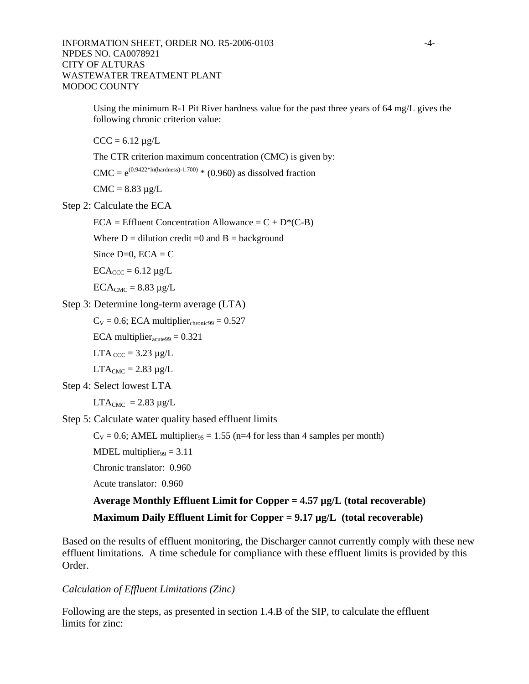Using the minimum R-1 Pit River hardness value for the past three years of 64 mg/L gives the following chronic criterion value:

 $CCC = 6.12 \mu g/L$ 

The CTR criterion maximum concentration (CMC) is given by:

 $CMC = e^{(0.9422 * ln(hardness) - 1.700)}$  \* (0.960) as dissolved fraction

 $CMC = 8.83 \mu g/L$ 

Step 2: Calculate the ECA

 $ECA = Eff$ luent Concentration Allowance =  $C + D^*(C-B)$ 

Where  $D =$  dilution credit =0 and  $B =$  background

Since  $D=0$ ,  $ECA = C$ 

 $ECA_{CCC} = 6.12 \mu g/L$ 

 $ECA_{CMC} = 8.83 \mu g/L$ 

Step 3: Determine long-term average (LTA)

 $C_V = 0.6$ ; ECA multiplier<sub>chronic</sub><sub>99</sub> = 0.527

ECA multiplier $_{\text{acute99}}$  = 0.321

 $LTA_{\text{CCC}} = 3.23 \mu g/L$ 

 $LTA<sub>CMC</sub> = 2.83 \mu g/L$ 

Step 4: Select lowest LTA

 $LTA_{CMC} = 2.83 \mu g/L$ 

Step 5: Calculate water quality based effluent limits

 $C_V = 0.6$ ; AMEL multiplier<sub>95</sub> = 1.55 (n=4 for less than 4 samples per month)

MDEL multiplier $_{99}$  = 3.11

Chronic translator: 0.960

Acute translator: 0.960

# **Average Monthly Effluent Limit for Copper = 4.57 µg/L (total recoverable) Maximum Daily Effluent Limit for Copper = 9.17 µg/L (total recoverable)**

Based on the results of effluent monitoring, the Discharger cannot currently comply with these new effluent limitations. A time schedule for compliance with these effluent limits is provided by this Order.

#### *Calculation of Effluent Limitations (Zinc)*

Following are the steps, as presented in section 1.4.B of the SIP, to calculate the effluent limits for zinc: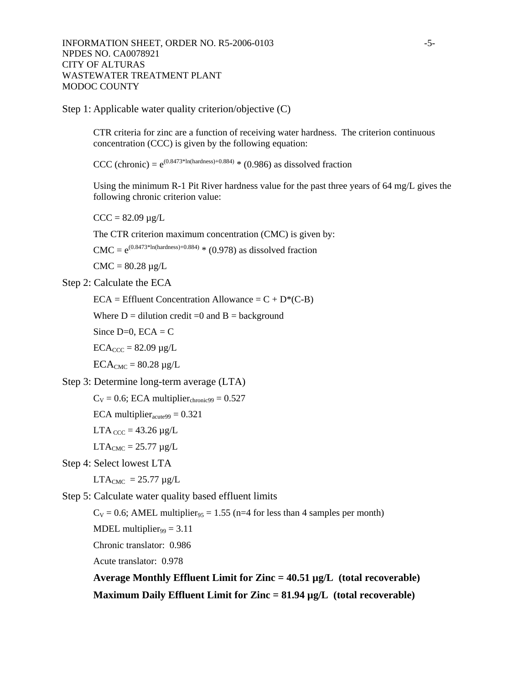Step 1: Applicable water quality criterion/objective (C)

CTR criteria for zinc are a function of receiving water hardness. The criterion continuous concentration (CCC) is given by the following equation:

CCC (chronic) =  $e^{(0.8473 * ln(hardness) + 0.884)}$  \* (0.986) as dissolved fraction

Using the minimum R-1 Pit River hardness value for the past three years of 64 mg/L gives the following chronic criterion value:

 $CCC = 82.09 \mu g/L$ 

The CTR criterion maximum concentration (CMC) is given by:

 $CMC = e^{(0.8473 * ln(hardness) + 0.884)}$  \* (0.978) as dissolved fraction

 $CMC = 80.28 \mu g/L$ 

Step 2: Calculate the ECA

 $ECA = Eff$ luent Concentration Allowance =  $C + D^*(C-B)$ 

Where  $D =$  dilution credit =0 and  $B =$  background

Since  $D=0$ ,  $ECA = C$ 

 $ECA_{CCC} = 82.09 \mu g/L$ 

 $ECA_{CMC} = 80.28 \mu g/L$ 

Step 3: Determine long-term average (LTA)

```
C_V = 0.6; ECA multiplier<sub>chronic</sub><sub>99</sub> = 0.527
```
ECA multiplier $_{\text{acute99}}$  = 0.321

LTA  $_{\text{CCC}}$  = 43.26  $\mu$ g/L

 $LTA_{CMC} = 25.77 \mu g/L$ 

Step 4: Select lowest LTA

 $LTA<sub>CMC</sub> = 25.77 \mu g/L$ 

Step 5: Calculate water quality based effluent limits

 $C_V = 0.6$ ; AMEL multiplier<sub>95</sub> = 1.55 (n=4 for less than 4 samples per month)

MDEL multiplier $_{99}$  = 3.11

Chronic translator: 0.986

Acute translator: 0.978

**Average Monthly Effluent Limit for Zinc = 40.51 µg/L (total recoverable) Maximum Daily Effluent Limit for Zinc = 81.94 µg/L (total recoverable)**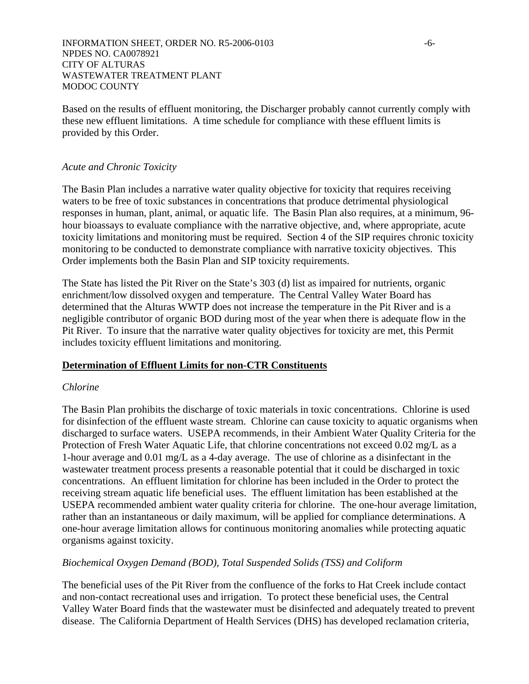INFORMATION SHEET, ORDER NO. R5-2006-0103 -6- NPDES NO. CA0078921 CITY OF ALTURAS WASTEWATER TREATMENT PLANT MODOC COUNTY

Based on the results of effluent monitoring, the Discharger probably cannot currently comply with these new effluent limitations. A time schedule for compliance with these effluent limits is provided by this Order.

#### *Acute and Chronic Toxicity*

The Basin Plan includes a narrative water quality objective for toxicity that requires receiving waters to be free of toxic substances in concentrations that produce detrimental physiological responses in human, plant, animal, or aquatic life. The Basin Plan also requires, at a minimum, 96 hour bioassays to evaluate compliance with the narrative objective, and, where appropriate, acute toxicity limitations and monitoring must be required. Section 4 of the SIP requires chronic toxicity monitoring to be conducted to demonstrate compliance with narrative toxicity objectives. This Order implements both the Basin Plan and SIP toxicity requirements.

The State has listed the Pit River on the State's 303 (d) list as impaired for nutrients, organic enrichment/low dissolved oxygen and temperature. The Central Valley Water Board has determined that the Alturas WWTP does not increase the temperature in the Pit River and is a negligible contributor of organic BOD during most of the year when there is adequate flow in the Pit River. To insure that the narrative water quality objectives for toxicity are met, this Permit includes toxicity effluent limitations and monitoring.

#### **Determination of Effluent Limits for non-CTR Constituents**

#### *Chlorine*

The Basin Plan prohibits the discharge of toxic materials in toxic concentrations. Chlorine is used for disinfection of the effluent waste stream. Chlorine can cause toxicity to aquatic organisms when discharged to surface waters. USEPA recommends, in their Ambient Water Quality Criteria for the Protection of Fresh Water Aquatic Life, that chlorine concentrations not exceed 0.02 mg/L as a 1-hour average and 0.01 mg/ $\overline{L}$  as a 4-day average. The use of chlorine as a disinfectant in the wastewater treatment process presents a reasonable potential that it could be discharged in toxic concentrations. An effluent limitation for chlorine has been included in the Order to protect the receiving stream aquatic life beneficial uses. The effluent limitation has been established at the USEPA recommended ambient water quality criteria for chlorine. The one-hour average limitation, rather than an instantaneous or daily maximum, will be applied for compliance determinations. A one-hour average limitation allows for continuous monitoring anomalies while protecting aquatic organisms against toxicity.

#### *Biochemical Oxygen Demand (BOD), Total Suspended Solids (TSS) and Coliform*

The beneficial uses of the Pit River from the confluence of the forks to Hat Creek include contact and non-contact recreational uses and irrigation. To protect these beneficial uses, the Central Valley Water Board finds that the wastewater must be disinfected and adequately treated to prevent disease. The California Department of Health Services (DHS) has developed reclamation criteria,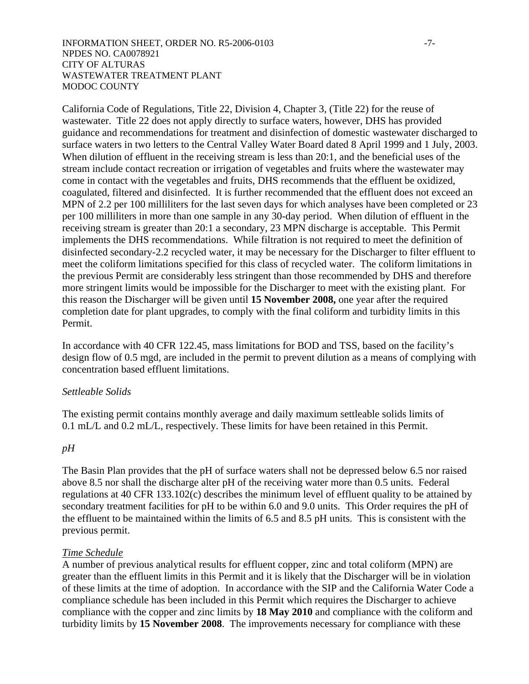#### INFORMATION SHEET, ORDER NO. R5-2006-0103 -7- NPDES NO. CA0078921 CITY OF ALTURAS WASTEWATER TREATMENT PLANT MODOC COUNTY

California Code of Regulations, Title 22, Division 4, Chapter 3, (Title 22) for the reuse of wastewater. Title 22 does not apply directly to surface waters, however, DHS has provided guidance and recommendations for treatment and disinfection of domestic wastewater discharged to surface waters in two letters to the Central Valley Water Board dated 8 April 1999 and 1 July, 2003. When dilution of effluent in the receiving stream is less than 20:1, and the beneficial uses of the stream include contact recreation or irrigation of vegetables and fruits where the wastewater may come in contact with the vegetables and fruits, DHS recommends that the effluent be oxidized, coagulated, filtered and disinfected. It is further recommended that the effluent does not exceed an MPN of 2.2 per 100 milliliters for the last seven days for which analyses have been completed or 23 per 100 milliliters in more than one sample in any 30-day period. When dilution of effluent in the receiving stream is greater than 20:1 a secondary, 23 MPN discharge is acceptable. This Permit implements the DHS recommendations. While filtration is not required to meet the definition of disinfected secondary-2.2 recycled water, it may be necessary for the Discharger to filter effluent to meet the coliform limitations specified for this class of recycled water. The coliform limitations in the previous Permit are considerably less stringent than those recommended by DHS and therefore more stringent limits would be impossible for the Discharger to meet with the existing plant. For this reason the Discharger will be given until **15 November 2008,** one year after the required completion date for plant upgrades, to comply with the final coliform and turbidity limits in this Permit.

In accordance with 40 CFR 122.45, mass limitations for BOD and TSS, based on the facility's design flow of 0.5 mgd, are included in the permit to prevent dilution as a means of complying with concentration based effluent limitations.

#### *Settleable Solids*

The existing permit contains monthly average and daily maximum settleable solids limits of 0.1 mL/L and 0.2 mL/L, respectively. These limits for have been retained in this Permit.

#### *pH*

The Basin Plan provides that the pH of surface waters shall not be depressed below 6.5 nor raised above 8.5 nor shall the discharge alter pH of the receiving water more than 0.5 units. Federal regulations at 40 CFR 133.102(c) describes the minimum level of effluent quality to be attained by secondary treatment facilities for pH to be within 6.0 and 9.0 units. This Order requires the pH of the effluent to be maintained within the limits of 6.5 and 8.5 pH units. This is consistent with the previous permit.

## *Time Schedule*

A number of previous analytical results for effluent copper, zinc and total coliform (MPN) are greater than the effluent limits in this Permit and it is likely that the Discharger will be in violation of these limits at the time of adoption. In accordance with the SIP and the California Water Code a compliance schedule has been included in this Permit which requires the Discharger to achieve compliance with the copper and zinc limits by **18 May 2010** and compliance with the coliform and turbidity limits by **15 November 2008**. The improvements necessary for compliance with these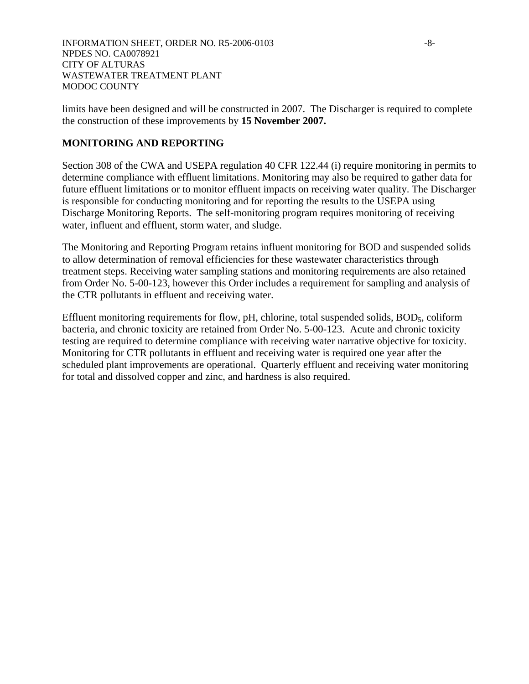limits have been designed and will be constructed in 2007. The Discharger is required to complete the construction of these improvements by **15 November 2007.**

# **MONITORING AND REPORTING**

Section 308 of the CWA and USEPA regulation 40 CFR 122.44 (i) require monitoring in permits to determine compliance with effluent limitations. Monitoring may also be required to gather data for future effluent limitations or to monitor effluent impacts on receiving water quality. The Discharger is responsible for conducting monitoring and for reporting the results to the USEPA using Discharge Monitoring Reports. The self-monitoring program requires monitoring of receiving water, influent and effluent, storm water, and sludge.

The Monitoring and Reporting Program retains influent monitoring for BOD and suspended solids to allow determination of removal efficiencies for these wastewater characteristics through treatment steps. Receiving water sampling stations and monitoring requirements are also retained from Order No. 5-00-123, however this Order includes a requirement for sampling and analysis of the CTR pollutants in effluent and receiving water.

Effluent monitoring requirements for flow, pH, chlorine, total suspended solids, BOD<sub>5</sub>, coliform bacteria, and chronic toxicity are retained from Order No. 5-00-123. Acute and chronic toxicity testing are required to determine compliance with receiving water narrative objective for toxicity. Monitoring for CTR pollutants in effluent and receiving water is required one year after the scheduled plant improvements are operational. Quarterly effluent and receiving water monitoring for total and dissolved copper and zinc, and hardness is also required.